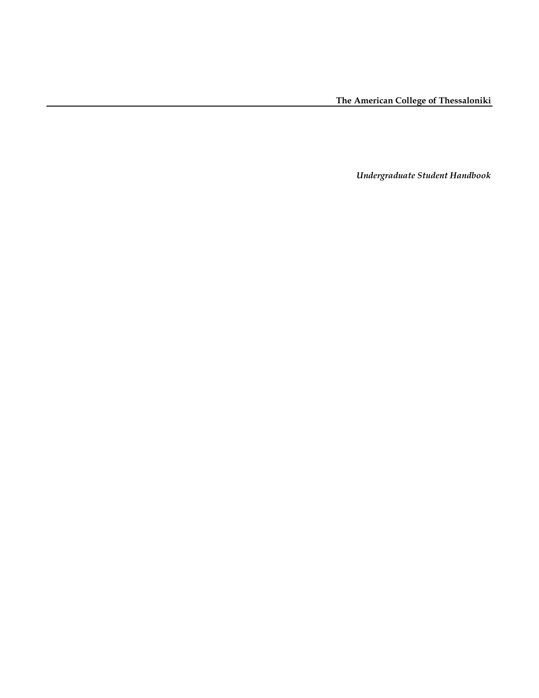*Undergraduate Student Handbook*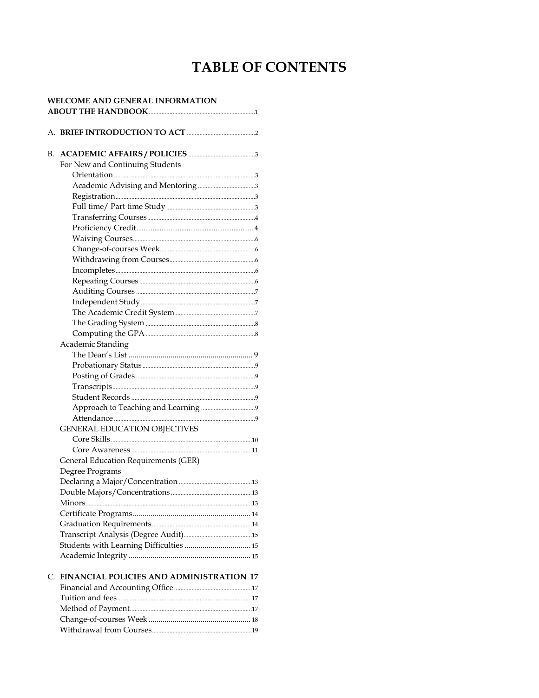# **TABLE OF CONTENTS**

| <b>WELCOME AND GENERAL INFORMATION</b> |                                             |  |  |
|----------------------------------------|---------------------------------------------|--|--|
|                                        |                                             |  |  |
|                                        |                                             |  |  |
| В.                                     |                                             |  |  |
|                                        | For New and Continuing Students             |  |  |
|                                        |                                             |  |  |
|                                        |                                             |  |  |
|                                        |                                             |  |  |
|                                        |                                             |  |  |
|                                        |                                             |  |  |
|                                        |                                             |  |  |
|                                        |                                             |  |  |
|                                        |                                             |  |  |
|                                        |                                             |  |  |
|                                        |                                             |  |  |
|                                        |                                             |  |  |
|                                        |                                             |  |  |
|                                        |                                             |  |  |
|                                        |                                             |  |  |
|                                        |                                             |  |  |
|                                        |                                             |  |  |
|                                        | Academic Standing                           |  |  |
|                                        |                                             |  |  |
|                                        |                                             |  |  |
|                                        |                                             |  |  |
|                                        |                                             |  |  |
|                                        |                                             |  |  |
|                                        |                                             |  |  |
|                                        |                                             |  |  |
|                                        | <b>GENERAL EDUCATION OBJECTIVES</b>         |  |  |
|                                        |                                             |  |  |
|                                        |                                             |  |  |
|                                        | <b>General Education Requirements (GER)</b> |  |  |
|                                        | Degree Programs                             |  |  |
|                                        |                                             |  |  |
|                                        |                                             |  |  |
|                                        |                                             |  |  |
|                                        |                                             |  |  |
|                                        |                                             |  |  |
|                                        |                                             |  |  |
|                                        | Students with Learning Difficulties  15     |  |  |
|                                        |                                             |  |  |
|                                        |                                             |  |  |
|                                        | C. FINANCIAL POLICIES AND ADMINISTRATION 17 |  |  |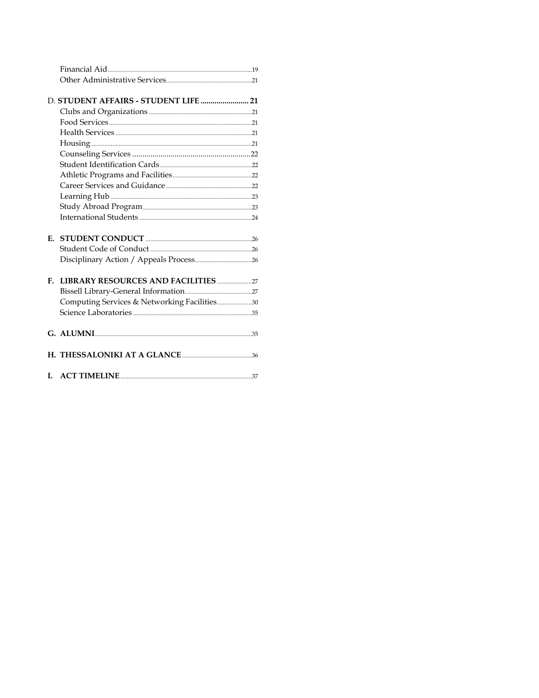|    | D. STUDENT AFFAIRS - STUDENT LIFE  21        |  |
|----|----------------------------------------------|--|
|    |                                              |  |
|    |                                              |  |
|    |                                              |  |
|    |                                              |  |
|    |                                              |  |
|    |                                              |  |
|    |                                              |  |
|    |                                              |  |
|    |                                              |  |
|    |                                              |  |
|    |                                              |  |
|    |                                              |  |
|    |                                              |  |
|    |                                              |  |
|    |                                              |  |
|    |                                              |  |
| F. |                                              |  |
|    |                                              |  |
|    | Computing Services & Networking Facilities30 |  |
|    |                                              |  |
|    |                                              |  |
|    |                                              |  |
|    |                                              |  |
|    |                                              |  |
|    |                                              |  |
|    |                                              |  |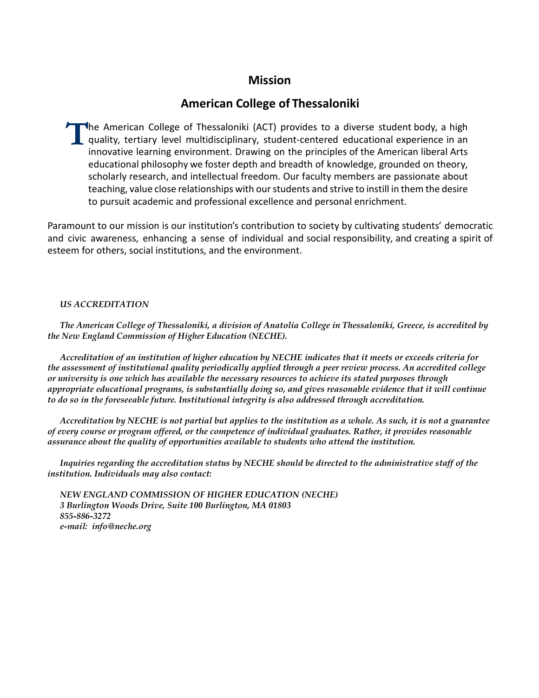## **Mission**

## **American College of Thessaloniki**

The American College of Thessaloniki (ACT) provides to a diverse student body, a high quality, tertiary level multidisciplinary, student-centered educational experience in an innovative learning environment. Drawing on the  $\lfloor$  quality, tertiary level multidisciplinary, student-centered educational experience in an innovative learning environment. Drawing on the principles of the American liberal Arts educational philosophy we foster depth and breadth of knowledge, grounded on theory, scholarly research, and intellectual freedom. Our faculty members are passionate about teaching, value close relationships with our students and strive to instill in them the desire to pursuit academic and professional excellence and personal enrichment.

Paramount to our mission is our institution's contribution to society by cultivating students' democratic and civic awareness, enhancing a sense of individual and social responsibility, and creating a spirit of esteem for others, social institutions, and the environment.

### *US ACCREDITATION*

*The American College of Thessaloniki, a division of Anatolia College in Thessaloniki, Greece, is accredited by the New England Commission of Higher Education (NECHE).*

*Accreditation of an institution of higher education by NECHE indicates that it meets or exceeds criteria for the assessment of institutional quality periodically applied through a peer review process. An accredited college or university is one which has available the necessary resources to achieve its stated purposes through appropriate educational programs, is substantially doing so, and gives reasonable evidence that it will continue to do so in the foreseeable future. Institutional integrity is also addressed through accreditation.*

*Accreditation by NECHE is not partial but applies to the institution as a whole. As such, it is not a guarantee of every course or program offered, or the competence of individual graduates. Rather, it provides reasonable assurance about the quality of opportunities available to students who attend the institution.*

*Inquiries regarding the accreditation status by NECHE should be directed to the administrative staff of the institution. Individuals may also contact:*

*NEW ENGLAND COMMISSION OF HIGHER EDUCATION (NECHE) 3 Burlington Woods Drive, Suite 100 Burlington, MA 01803 855-886-3272 e-mail: info@neche.org*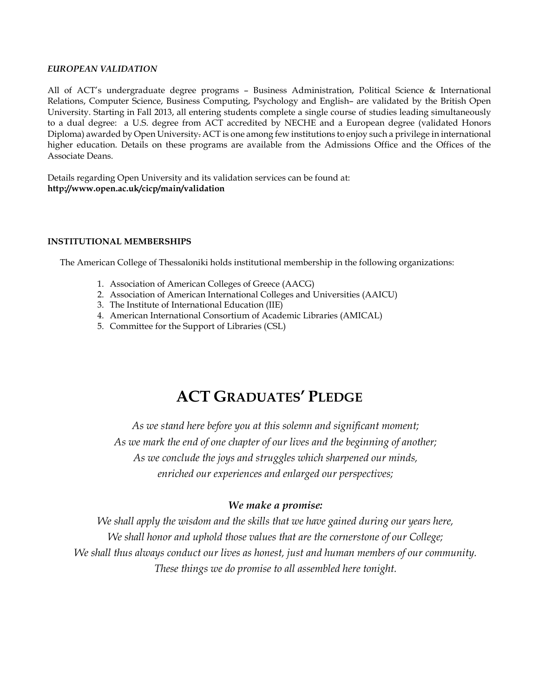#### *EUROPEAN VALIDATION*

All of ACT's undergraduate degree programs – Business Administration, Political Science & International Relations, Computer Science, Business Computing, Psychology and English– are validated by the British Open University. Starting in Fall 2013, all entering students complete a single course of studies leading simultaneously to a dual degree: a U.S. degree from ACT accredited by NECHE and a European degree (validated Honors Diploma) awarded by Open University. ACT is one among few institutions to enjoy such a privilege in international higher education. Details on these programs are available from the Admissions Office and the Offices of the Associate Deans.

Details regarding Open University and its validation services can be found at: **http://www.open.ac.uk/cicp/main/validation**

#### **INSTITUTIONAL MEMBERSHIPS**

The American College of Thessaloniki holds institutional membership in the following organizations:

- 1. Association of American Colleges of Greece (AACG)
- 2. Association of American International Colleges and Universities (AAICU)
- 3. The Institute of International Education (IIE)
- 4. American International Consortium of Academic Libraries (AMICAL)
- 5. Committee for the Support of Libraries (CSL)

# **ACT GRADUATES' PLEDGE**

*As we stand here before you at this solemn and significant moment; As we mark the end of one chapter of our lives and the beginning of another; As we conclude the joys and struggles which sharpened our minds, enriched our experiences and enlarged our perspectives;*

## *We make a promise:*

*We shall apply the wisdom and the skills that we have gained during our years here, We shall honor and uphold those values that are the cornerstone of our College; We shall thus always conduct our lives as honest, just and human members of our community. These things we do promise to all assembled here tonight.*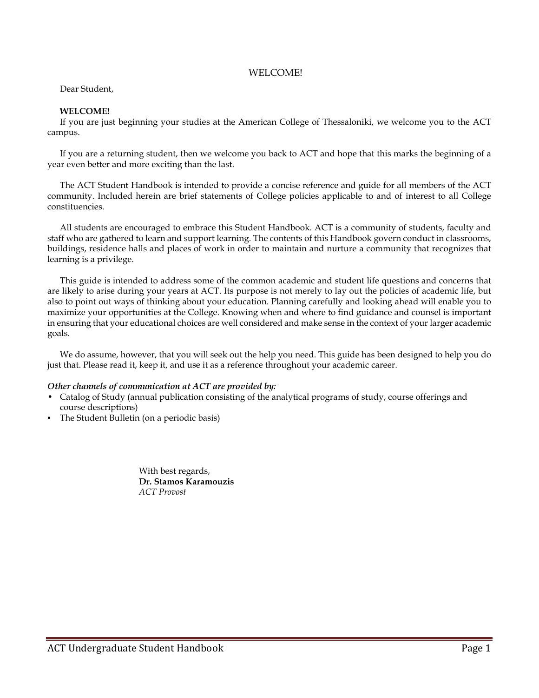#### WELCOME!

#### Dear Student,

#### **WELCOME!**

If you are just beginning your studies at the American College of Thessaloniki, we welcome you to the ACT campus.

If you are a returning student, then we welcome you back to ACT and hope that this marks the beginning of a year even better and more exciting than the last.

The ACT Student Handbook is intended to provide a concise reference and guide for all members of the ACT community. Included herein are brief statements of College policies applicable to and of interest to all College constituencies.

All students are encouraged to embrace this Student Handbook. ACT is a community of students, faculty and staff who are gathered to learn and support learning. The contents of this Handbook govern conduct in classrooms, buildings, residence halls and places of work in order to maintain and nurture a community that recognizes that learning is a privilege.

This guide is intended to address some of the common academic and student life questions and concerns that are likely to arise during your years at ACT. Its purpose is not merely to lay out the policies of academic life, but also to point out ways of thinking about your education. Planning carefully and looking ahead will enable you to maximize your opportunities at the College. Knowing when and where to find guidance and counsel is important in ensuring that your educational choices are well considered and make sense in the context of your larger academic goals.

We do assume, however, that you will seek out the help you need. This guide has been designed to help you do just that. Please read it, keep it, and use it as a reference throughout your academic career.

#### *Other channels of communication at ACT are provided by:*

- Catalog of Study (annual publication consisting of the analytical programs of study, course offerings and course descriptions)
- The Student Bulletin (on a periodic basis)

With best regards, **Dr. Stamos Karamouzis** *ACT Provost*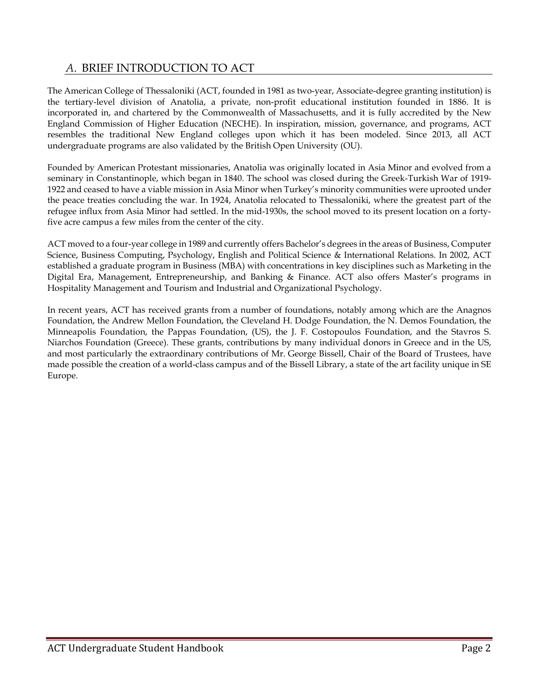## *A.* BRIEF INTRODUCTION TO ACT

The American College of Thessaloniki (ACT, founded in 1981 as two-year, Associate-degree granting institution) is the tertiary-level division of Anatolia, a private, non-profit educational institution founded in 1886. It is incorporated in, and chartered by the Commonwealth of Massachusetts, and it is fully accredited by the New England Commission of Higher Education (NECHE). In inspiration, mission, governance, and programs, ACT resembles the traditional New England colleges upon which it has been modeled. Since 2013, all ACT undergraduate programs are also validated by the British Open University (OU).

Founded by American Protestant missionaries, Anatolia was originally located in Asia Minor and evolved from a seminary in Constantinople, which began in 1840. The school was closed during the Greek-Turkish War of 1919- 1922 and ceased to have a viable mission in Asia Minor when Turkey's minority communities were uprooted under the peace treaties concluding the war. In 1924, Anatolia relocated to Thessaloniki, where the greatest part of the refugee influx from Asia Minor had settled. In the mid-1930s, the school moved to its present location on a fortyfive acre campus a few miles from the center of the city.

ACT moved to a four-year college in 1989 and currently offers Bachelor's degrees in the areas of Business, Computer Science, Business Computing, Psychology, English and Political Science & International Relations. In 2002, ACT established a graduate program in Business (MBA) with concentrations in key disciplines such as Marketing in the Digital Era, Management, Entrepreneurship, and Banking & Finance. ACT also offers Master's programs in Hospitality Management and Tourism and Industrial and Organizational Psychology.

In recent years, ACT has received grants from a number of foundations, notably among which are the Anagnos Foundation, the Andrew Mellon Foundation, the Cleveland H. Dodge Foundation, the N. Demos Foundation, the Minneapolis Foundation, the Pappas Foundation, (US), the J. F. Costopoulos Foundation, and the Stavros S. Niarchos Foundation (Greece). These grants, contributions by many individual donors in Greece and in the US, and most particularly the extraordinary contributions of Mr. George Bissell, Chair of the Board of Trustees, have made possible the creation of a world-class campus and of the Bissell Library, a state of the art facility unique in SE Europe.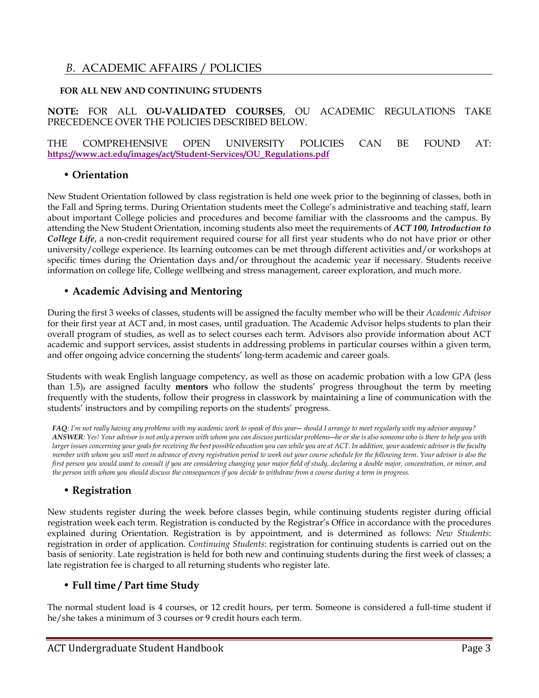## *B.* ACADEMIC AFFAIRS / POLICIES

## **FOR ALL NEW AND CONTINUING STUDENTS**

## **NOTE:** FOR ALL **OU-VALIDATED COURSES**, OU ACADEMIC REGULATIONS TAKE PRECEDENCE OVER THE POLICIES DESCRIBED BELOW.

## THE COMPREHENSIVE OPEN UNIVERSITY POLICIES CAN BE FOUND AT: **[https://www.act.edu/images/act/Student-Services/OU\\_Regulations.pdf](https://www.act.edu/images/act/Student-Services/OU_Regulations.pdf)**

## • **Orientation**

New Student Orientation followed by class registration is held one week prior to the beginning of classes, both in the Fall and Spring terms. During Orientation students meet the College's administrative and teaching staff, learn about important College policies and procedures and become familiar with the classrooms and the campus. By attending the New Student Orientation, incoming students also meet the requirements of *ACT 100, Introduction to College Life*, a non-credit requirement required course for all first year students who do not have prior or other university/college experience. Its learning outcomes can be met through different activities and/or workshops at specific times during the Orientation days and/or throughout the academic year if necessary. Students receive information on college life, College wellbeing and stress management, career exploration, and much more.

## • **Academic Advising and Mentoring**

During the first 3 weeks of classes, students will be assigned the faculty member who will be their *Academic Advisor* for their first year at ACT and, in most cases, until graduation. The Academic Advisor helps students to plan their overall program of studies, as well as to select courses each term. Advisors also provide information about ACT academic and support services, assist students in addressing problems in particular courses within a given term, and offer ongoing advice concerning the students' long-term academic and career goals.

Students with weak English language competency, as well as those on academic probation with a low GPA (less than 1.5), are assigned faculty **mentors** who follow the students' progress throughout the term by meeting frequently with the students, follow their progress in classwork by maintaining a line of communication with the students' instructors and by compiling reports on the students' progress.

*FAQ: I'm not really having any problems with my academic work to speak of this year― should I arrange to meet regularly with my advisor anyway? ANSWER: Yes! Your advisor is not only a person with whom you can discuss particular problems―he or she is also someone who is there to help you with larger issues concerning your goals for receiving the best possible education you can while you are at ACT. In addition, your academic advisor is the faculty member with whom you will meet in advance of every registration period to work out your course schedule for the following term. Your advisor is also the first person you would want to consult if you are considering changing your major field of study, declaring a double major, concentration, or minor, and the person with whom you should discuss the consequences if you decide to withdraw from a course during a term in progress.*

## • **Registration**

New students register during the week before classes begin, while continuing students register during official registration week each term. Registration is conducted by the Registrar's Office in accordance with the procedures explained during Orientation. Registration is by appointment, and is determined as follows: *New Students*: registration in order of application. *Continuing Students*: registration for continuing students is carried out on the basis of seniority*.* Late registration is held for both new and continuing students during the first week of classes; a late registration fee is charged to all returning students who register late.

## • **Full time / Part time Study**

The normal student load is 4 courses, or 12 credit hours, per term. Someone is considered a full-time student if he/she takes a minimum of 3 courses or 9 credit hours each term.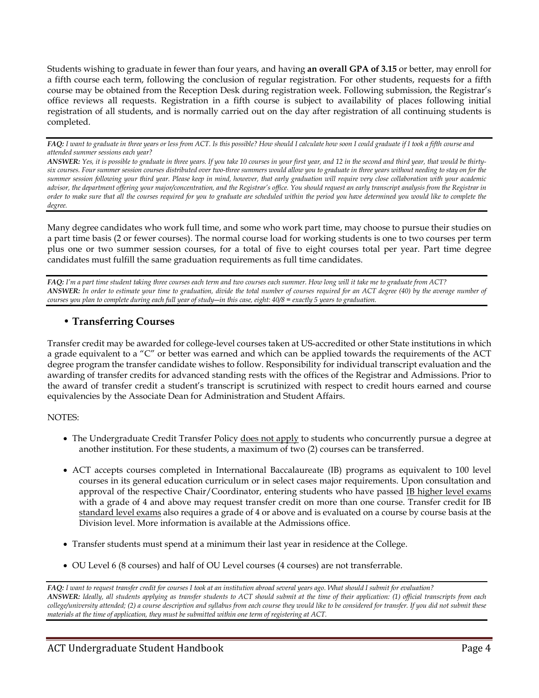Students wishing to graduate in fewer than four years, and having **an overall GPA of 3.15** or better, may enroll for a fifth course each term, following the conclusion of regular registration. For other students, requests for a fifth course may be obtained from the Reception Desk during registration week. Following submission, the Registrar's office reviews all requests. Registration in a fifth course is subject to availability of places following initial registration of all students, and is normally carried out on the day after registration of all continuing students is completed.

*FAQ: I want to graduate in three years or less from ACT. Is this possible? How should I calculate how soon I could graduate if I took a fifth course and attended summer sessions each year?*

*ANSWER: Yes, it is possible to graduate in three years. If you take 10 courses in your first year, and 12 in the second and third year, that would be thirtysix courses. Four summer session courses distributed over two-three summers would allow you to graduate in three years without needing to stay on for the summer session following your third year. Please keep in mind, however, that early graduation will require very close collaboration with your academic advisor, the department offering your major/concentration, and the Registrar's office. You should request an early transcript analysis from the Registrar in order to make sure that all the courses required for you to graduate are scheduled within the period you have determined you would like to complete the degree.*

Many degree candidates who work full time, and some who work part time, may choose to pursue their studies on a part time basis (2 or fewer courses). The normal course load for working students is one to two courses per term plus one or two summer session courses, for a total of five to eight courses total per year. Part time degree candidates must fulfill the same graduation requirements as full time candidates.

*FAQ: I'm a part time student taking three courses each term and two courses each summer. How long will it take me to graduate from ACT?* ANSWER: In order to estimate your time to graduation, divide the total number of courses required for an ACT degree (40) by the average number of *courses you plan to complete during each full year of study―in this case, eight: 40/8 = exactly 5 years to graduation.*

## • **Transferring Courses**

Transfer credit may be awarded for college-level courses taken at US-accredited or other State institutions in which a grade equivalent to a "C" or better was earned and which can be applied towards the requirements of the ACT degree program the transfer candidate wishes to follow. Responsibility for individual transcript evaluation and the awarding of transfer credits for advanced standing rests with the offices of the Registrar and Admissions. Prior to the award of transfer credit a student's transcript is scrutinized with respect to credit hours earned and course equivalencies by the Associate Dean for Administration and Student Affairs.

## NOTES:

- The Undergraduate Credit Transfer Policy does not apply to students who concurrently pursue a degree at another institution. For these students, a maximum of two (2) courses can be transferred.
- ACT accepts courses completed in International Baccalaureate (IB) programs as equivalent to 100 level courses in its general education curriculum or in select cases major requirements. Upon consultation and approval of the respective Chair/Coordinator, entering students who have passed IB higher level exams with a grade of 4 and above may request transfer credit on more than one course. Transfer credit for IB standard level exams also requires a grade of 4 or above and is evaluated on a course by course basis at the Division level. More information is available at the Admissions office.
- Transfer students must spend at a minimum their last year in residence at the College.
- OU Level 6 (8 courses) and half of OU Level courses (4 courses) are not transferrable.

*FAQ: I want to request transfer credit for courses I took at an institution abroad several years ago. What should I submit for evaluation? ANSWER: Ideally, all students applying as transfer students to ACT should submit at the time of their application: (1) official transcripts from each college/university attended; (2) a course description and syllabus from each course they would like to be considered for transfer. If you did not submit these materials at the time of application, they must be submitted within one term of registering at ACT.*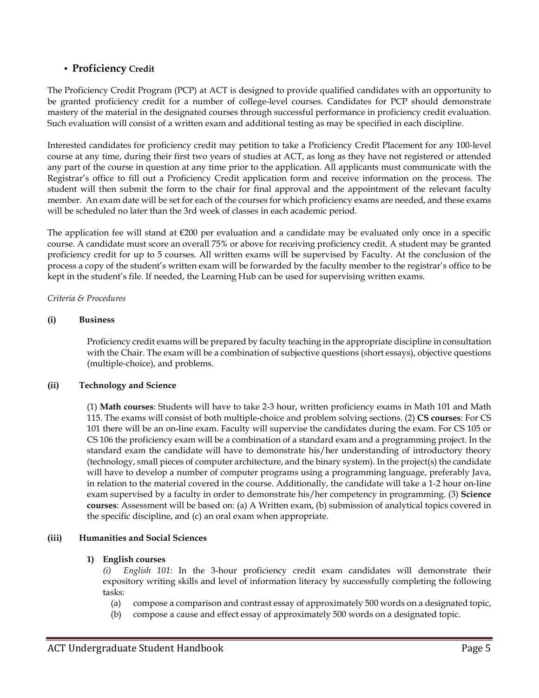## • **Proficiency Credit**

The Proficiency Credit Program (PCP) at ACT is designed to provide qualified candidates with an opportunity to be granted proficiency credit for a number of college-level courses. Candidates for PCP should demonstrate mastery of the material in the designated courses through successful performance in proficiency credit evaluation. Such evaluation will consist of a written exam and additional testing as may be specified in each discipline.

Interested candidates for proficiency credit may petition to take a Proficiency Credit Placement for any 100-level course at any time, during their first two years of studies at ACT, as long as they have not registered or attended any part of the course in question at any time prior to the application. All applicants must communicate with the Registrar's office to fill out a Proficiency Credit application form and receive information on the process. The student will then submit the form to the chair for final approval and the appointment of the relevant faculty member. An exam date will be set for each of the courses for which proficiency exams are needed, and these exams will be scheduled no later than the 3rd week of classes in each academic period.

The application fee will stand at  $\epsilon$ 200 per evaluation and a candidate may be evaluated only once in a specific course. A candidate must score an overall 75% or above for receiving proficiency credit. A student may be granted proficiency credit for up to 5 courses. All written exams will be supervised by Faculty. At the conclusion of the process a copy of the student's written exam will be forwarded by the faculty member to the registrar's office to be kept in the student's file. If needed, the Learning Hub can be used for supervising written exams.

### *Criteria & Procedures*

## **(i) Business**

Proficiency credit exams will be prepared by faculty teaching in the appropriate discipline in consultation with the Chair. The exam will be a combination of subjective questions (short essays), objective questions (multiple-choice), and problems.

### **(ii) Technology and Science**

(1) **Math courses**: Students will have to take 2-3 hour, written proficiency exams in Math 101 and Math 115. The exams will consist of both multiple-choice and problem solving sections. (2) **CS courses**: For CS 101 there will be an on-line exam. Faculty will supervise the candidates during the exam. For CS 105 or CS 106 the proficiency exam will be a combination of a standard exam and a programming project. In the standard exam the candidate will have to demonstrate his/her understanding of introductory theory (technology, small pieces of computer architecture, and the binary system). In the project(s) the candidate will have to develop a number of computer programs using a programming language, preferably Java, in relation to the material covered in the course. Additionally, the candidate will take a 1-2 hour on-line exam supervised by a faculty in order to demonstrate his/her competency in programming. (3) **Science courses**: Assessment will be based on: (a) A Written exam, (b) submission of analytical topics covered in the specific discipline, and (c) an oral exam when appropriate.

### **(iii) Humanities and Social Sciences**

### **1) English courses**

*(i) English 101*: In the 3-hour proficiency credit exam candidates will demonstrate their expository writing skills and level of information literacy by successfully completing the following tasks:

- (a) compose a comparison and contrast essay of approximately 500 words on a designated topic,
- (b) compose a cause and effect essay of approximately 500 words on a designated topic.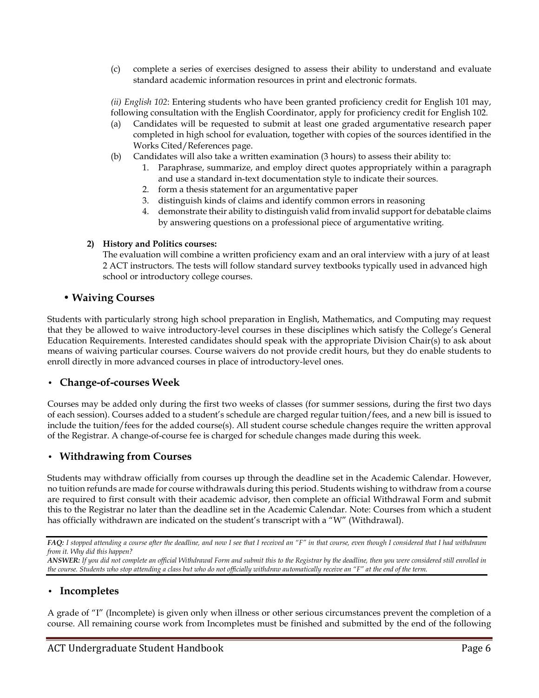(c) complete a series of exercises designed to assess their ability to understand and evaluate standard academic information resources in print and electronic formats.

*(ii) English 102*: Entering students who have been granted proficiency credit for English 101 may, following consultation with the English Coordinator, apply for proficiency credit for English 102.

- (a) Candidates will be requested to submit at least one graded argumentative research paper completed in high school for evaluation, together with copies of the sources identified in the Works Cited/References page.
- (b) Candidates will also take a written examination (3 hours) to assess their ability to:
	- 1. Paraphrase, summarize, and employ direct quotes appropriately within a paragraph and use a standard in-text documentation style to indicate their sources.
	- 2. form a thesis statement for an argumentative paper
	- 3. distinguish kinds of claims and identify common errors in reasoning
	- 4. demonstrate their ability to distinguish valid from invalid support for debatable claims by answering questions on a professional piece of argumentative writing.

## **2) History and Politics courses:**

The evaluation will combine a written proficiency exam and an oral interview with a jury of at least 2 ACT instructors. The tests will follow standard survey textbooks typically used in advanced high school or introductory college courses.

## • **Waiving Courses**

Students with particularly strong high school preparation in English, Mathematics, and Computing may request that they be allowed to waive introductory-level courses in these disciplines which satisfy the College's General Education Requirements. Interested candidates should speak with the appropriate Division Chair(s) to ask about means of waiving particular courses. Course waivers do not provide credit hours, but they do enable students to enroll directly in more advanced courses in place of introductory-level ones.

## **• Change-of-courses Week**

Courses may be added only during the first two weeks of classes (for summer sessions, during the first two days of each session). Courses added to a student's schedule are charged regular tuition/fees, and a new bill is issued to include the tuition/fees for the added course(s). All student course schedule changes require the written approval of the Registrar. A change-of-course fee is charged for schedule changes made during this week.

## **• Withdrawing from Courses**

Students may withdraw officially from courses up through the deadline set in the Academic Calendar. However, no tuition refunds are made for course withdrawals during this period. Students wishing to withdraw from a course are required to first consult with their academic advisor, then complete an official Withdrawal Form and submit this to the Registrar no later than the deadline set in the Academic Calendar. Note: Courses from which a student has officially withdrawn are indicated on the student's transcript with a "W" (Withdrawal).

*FAQ: I stopped attending a course after the deadline, and now I see that I received an "F" in that course, even though I considered that I had withdrawn from it. Why did this happen?*

*ANSWER: If you did not complete an official Withdrawal Form and submit this to the Registrar by the deadline, then you were considered still enrolled in the course. Students who stop attending a class but who do not officially withdraw automatically receive an "F" at the end of the term.*

## **• Incompletes**

A grade of "I" (Incomplete) is given only when illness or other serious circumstances prevent the completion of a course. All remaining course work from Incompletes must be finished and submitted by the end of the following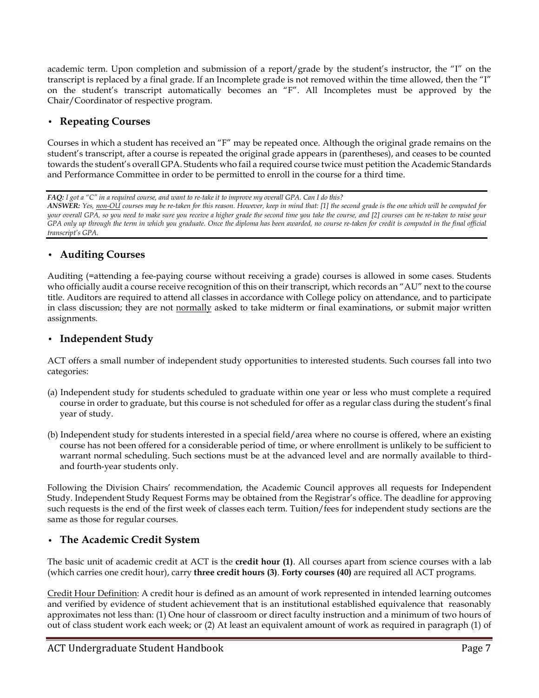academic term. Upon completion and submission of a report/grade by the student's instructor, the "I" on the transcript is replaced by a final grade. If an Incomplete grade is not removed within the time allowed, then the "I" on the student's transcript automatically becomes an "F". All Incompletes must be approved by the Chair/Coordinator of respective program.

## **• Repeating Courses**

Courses in which a student has received an "F" may be repeated once. Although the original grade remains on the student's transcript, after a course is repeated the original grade appears in (parentheses), and ceases to be counted towards the student's overall GPA. Students who fail a required course twice must petition the Academic Standards and Performance Committee in order to be permitted to enroll in the course for a third time.

*FAQ: I got a "C" in a required course, and want to re-take it to improve my overall GPA. Can I do this?*

*ANSWER: Yes, non-OU courses may be re-taken for this reason. However, keep in mind that: [1] the second grade is the one which will be computed for your overall GPA, so you need to make sure you receive a higher grade the second time you take the course, and [2] courses can be re-taken to raise your GPA only up through the term in which you graduate. Once the diploma has been awarded, no course re-taken for credit is computed in the final official transcript's GPA.*

## **• Auditing Courses**

Auditing (=attending a fee-paying course without receiving a grade) courses is allowed in some cases. Students who officially audit a course receive recognition of this on their transcript, which records an "AU" next to the course title. Auditors are required to attend all classes in accordance with College policy on attendance, and to participate in class discussion; they are not normally asked to take midterm or final examinations, or submit major written assignments.

## **• Independent Study**

ACT offers a small number of independent study opportunities to interested students. Such courses fall into two categories:

- (a) Independent study for students scheduled to graduate within one year or less who must complete a required course in order to graduate, but this course is not scheduled for offer as a regular class during the student's final year of study.
- (b) Independent study for students interested in a special field/area where no course is offered, where an existing course has not been offered for a considerable period of time, or where enrollment is unlikely to be sufficient to warrant normal scheduling. Such sections must be at the advanced level and are normally available to thirdand fourth-year students only.

Following the Division Chairs' recommendation, the Academic Council approves all requests for Independent Study. Independent Study Request Forms may be obtained from the Registrar's office. The deadline for approving such requests is the end of the first week of classes each term. Tuition/fees for independent study sections are the same as those for regular courses.

## **• The Academic Credit System**

The basic unit of academic credit at ACT is the **credit hour (1)**. All courses apart from science courses with a lab (which carries one credit hour), carry **three credit hours (3)**. **Forty courses (40)** are required all ACT programs.

Credit Hour Definition: A credit hour is defined as an amount of work represented in intended learning outcomes and verified by evidence of student achievement that is an institutional established equivalence that reasonably approximates not less than: (1) One hour of classroom or direct faculty instruction and a minimum of two hours of out of class student work each week; or (2) At least an equivalent amount of work as required in paragraph (1) of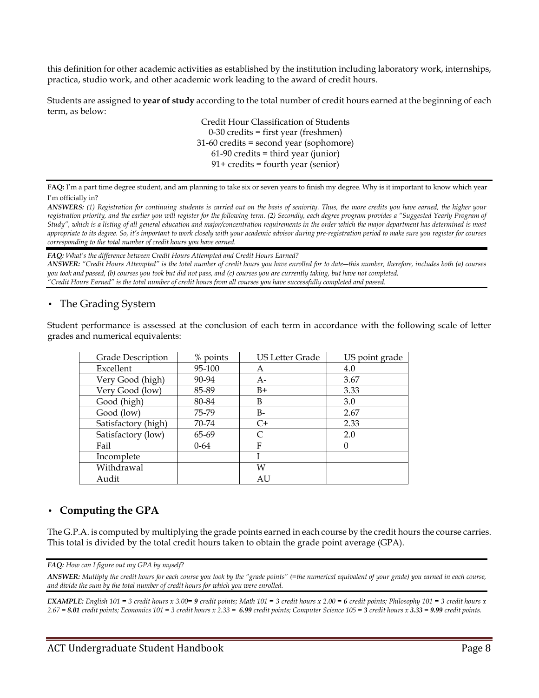this definition for other academic activities as established by the institution including laboratory work, internships, practica, studio work, and other academic work leading to the award of credit hours.

Students are assigned to **year of study** according to the total number of credit hours earned at the beginning of each term, as below:

> Credit Hour Classification of Students 0-30 credits = first year (freshmen) 31-60 credits = second year (sophomore) 61-90 credits = third year (junior) 91+ credits = fourth year (senior)

**FAQ:** I'm a part time degree student, and am planning to take six or seven years to finish my degree. Why is it important to know which year I'm officially in?

*ANSWERS: (1) Registration for continuing students is carried out on the basis of seniority. Thus, the more credits you have earned, the higher your registration priority, and the earlier you will register for the following term. (2) Secondly, each degree program provides a "Suggested Yearly Program of Study", which is a listing of all general education and major/concentration requirements in the order which the major department has determined is most appropriate to its degree. So, it's important to work closely with your academic advisor during pre-registration period to make sure you register for courses corresponding to the total number of credit hours you have earned.*

*FAQ: What's the difference between Credit Hours Attempted and Credit Hours Earned?*

*ANSWER: "Credit Hours Attempted" is the total number of credit hours you have enrolled for to date―this number, therefore, includes both (a) courses you took and passed, (b) courses you took but did not pass, and (c) courses you are currently taking, but have not completed. "Credit Hours Earned" is the total number of credit hours from all courses you have successfully completed and passed.*

## **•** The Grading System

Student performance is assessed at the conclusion of each term in accordance with the following scale of letter grades and numerical equivalents:

| Grade Description   | % points | US Letter Grade | US point grade |
|---------------------|----------|-----------------|----------------|
| Excellent           | 95-100   | А               | 4.0            |
| Very Good (high)    | 90-94    | $A-$            | 3.67           |
| Very Good (low)     | 85-89    | $B+$            | 3.33           |
| Good (high)         | 80-84    | B               | 3.0            |
| Good (low)          | 75-79    | $B-$            | 2.67           |
| Satisfactory (high) | 70-74    | $C+$            | 2.33           |
| Satisfactory (low)  | 65-69    | $\subset$       | 2.0            |
| Fail                | $0 - 64$ | F               | 0              |
| Incomplete          |          |                 |                |
| Withdrawal          |          | W               |                |
| Audit               |          | AU              |                |

## **• Computing the GPA**

The G.P.A. is computed by multiplying the grade points earned in each course by the credit hours the course carries. This total is divided by the total credit hours taken to obtain the grade point average (GPA).

*FAQ: How can I figure out my GPA by myself?*

*ANSWER: Multiply the credit hours for each course you took by the "grade points" (=the numerical equivalent of your grade) you earned in each course, and divide the sum by the total number of credit hours for which you were enrolled.*

*EXAMPLE: English 101 = 3 credit hours x 3.00= 9 credit points; Math 101 = 3 credit hours x 2.00 = 6 credit points; Philosophy 101 = 3 credit hours x*  2.67 = 8.01 credit points; Economics 101 = 3 credit hours x 2.33 = 6.99 credit points; Computer Science 105 = 3 credit hours x 3.33 = 9.99 credit points.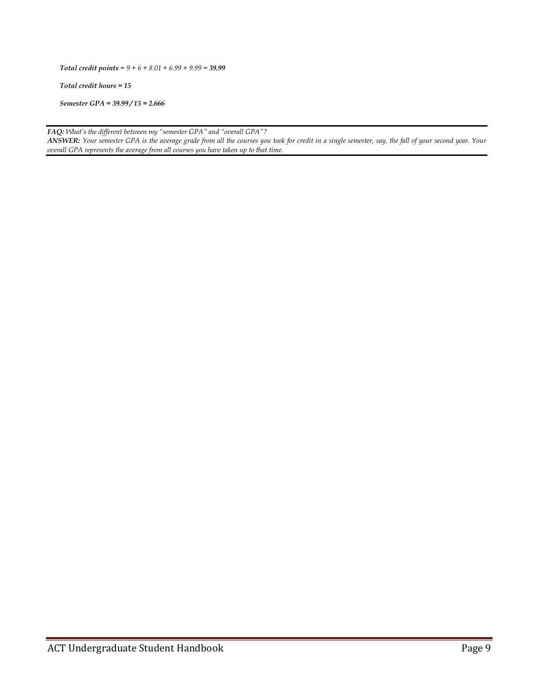*Total credit points = 9 + 6 + 8.01 + 6.99 + 9.99 = 39.99*

*Total credit hours = 15*

*Semester GPA = 39.99 / 15 = 2.666*

*FAQ: What's the different between my "semester GPA" and "overall GPA"? ANSWER: Your semester GPA is the average grade from all the courses you took for credit in a single semester, say, the fall of your second year. Your overall GPA represents the average from all courses you have taken up to that time.*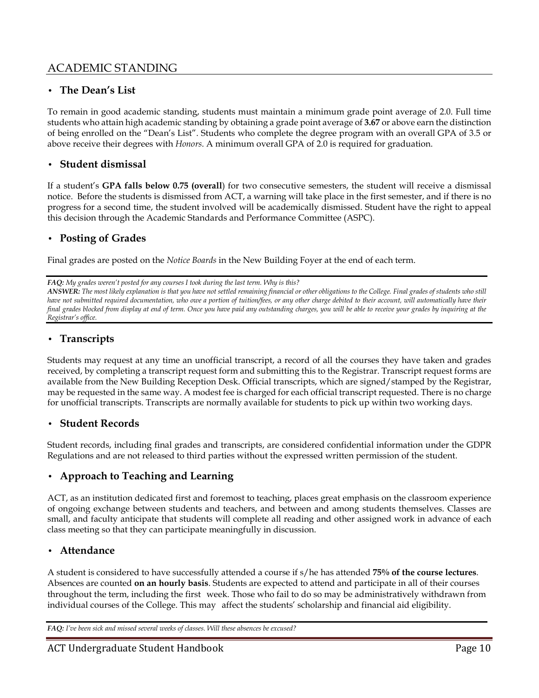## ACADEMIC STANDING

## **• The Dean's List**

To remain in good academic standing, students must maintain a minimum grade point average of 2.0. Full time students who attain high academic standing by obtaining a grade point average of **3.67** or above earn the distinction of being enrolled on the "Dean's List". Students who complete the degree program with an overall GPA of 3.5 or above receive their degrees with *Honors*. A minimum overall GPA of 2.0 is required for graduation.

## **• Student dismissal**

If a student's **GPA falls below 0.75 (overall**) for two consecutive semesters, the student will receive a dismissal notice. Before the students is dismissed from ACT, a warning will take place in the first semester, and if there is no progress for a second time, the student involved will be academically dismissed. Student have the right to appeal this decision through the Academic Standards and Performance Committee (ASPC).

## **• Posting of Grades**

Final grades are posted on the *Notice Boards* in the New Building Foyer at the end of each term.

*FAQ: My grades weren't posted for any courses I took during the last term. Why is this?*

*ANSWER: The most likely explanation is that you have not settled remaining financial or other obligations to the College. Final grades of students who still have not submitted required documentation, who owe a portion of tuition/fees, or any other charge debited to their account, will automatically have their final grades blocked from display at end of term. Once you have paid any outstanding charges, you will be able to receive your grades by inquiring at the Registrar's office.*

## **• Transcripts**

Students may request at any time an unofficial transcript, a record of all the courses they have taken and grades received, by completing a transcript request form and submitting this to the Registrar. Transcript request forms are available from the New Building Reception Desk. Official transcripts, which are signed/stamped by the Registrar, may be requested in the same way. A modest fee is charged for each official transcript requested. There is no charge for unofficial transcripts. Transcripts are normally available for students to pick up within two working days.

## **• Student Records**

Student records, including final grades and transcripts, are considered confidential information under the GDPR Regulations and are not released to third parties without the expressed written permission of the student.

## **• Approach to Teaching and Learning**

ACT, as an institution dedicated first and foremost to teaching, places great emphasis on the classroom experience of ongoing exchange between students and teachers, and between and among students themselves. Classes are small, and faculty anticipate that students will complete all reading and other assigned work in advance of each class meeting so that they can participate meaningfully in discussion.

## **• Attendance**

A student is considered to have successfully attended a course if s/he has attended **75% of the course lectures**. Absences are counted **on an hourly basis**. Students are expected to attend and participate in all of their courses throughout the term, including the first week. Those who fail to do so may be administratively withdrawn from individual courses of the College. This may affect the students' scholarship and financial aid eligibility.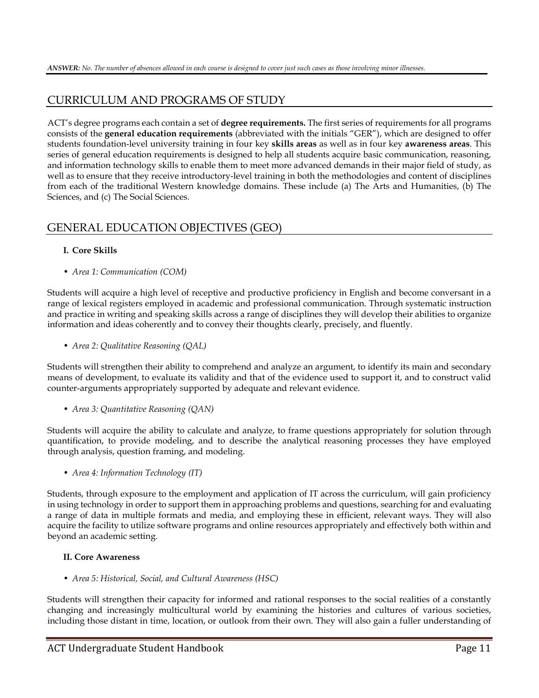## CURRICULUM AND PROGRAMS OF STUDY

ACT's degree programs each contain a set of **degree requirements.** The first series of requirements for all programs consists of the **general education requirements** (abbreviated with the initials "GER"), which are designed to offer students foundation-level university training in four key **skills areas** as well as in four key **awareness areas**. This series of general education requirements is designed to help all students acquire basic communication, reasoning, and information technology skills to enable them to meet more advanced demands in their major field of study, as well as to ensure that they receive introductory-level training in both the methodologies and content of disciplines from each of the traditional Western knowledge domains. These include (a) The Arts and Humanities, (b) The Sciences, and (c) The Social Sciences.

## GENERAL EDUCATION OBJECTIVES (GEO)

## **I. Core Skills**

• *Area 1: Communication (COM)*

Students will acquire a high level of receptive and productive proficiency in English and become conversant in a range of lexical registers employed in academic and professional communication. Through systematic instruction and practice in writing and speaking skills across a range of disciplines they will develop their abilities to organize information and ideas coherently and to convey their thoughts clearly, precisely, and fluently.

• *Area 2: Qualitative Reasoning (QAL)*

Students will strengthen their ability to comprehend and analyze an argument, to identify its main and secondary means of development, to evaluate its validity and that of the evidence used to support it, and to construct valid counter-arguments appropriately supported by adequate and relevant evidence.

• *Area 3: Quantitative Reasoning (QAN)*

Students will acquire the ability to calculate and analyze, to frame questions appropriately for solution through quantification, to provide modeling, and to describe the analytical reasoning processes they have employed through analysis, question framing, and modeling.

• *Area 4: Information Technology (IT)*

Students, through exposure to the employment and application of IT across the curriculum, will gain proficiency in using technology in order to support them in approaching problems and questions, searching for and evaluating a range of data in multiple formats and media, and employing these in efficient, relevant ways. They will also acquire the facility to utilize software programs and online resources appropriately and effectively both within and beyond an academic setting.

### **II. Core Awareness**

• *Area 5: Historical, Social, and Cultural Awareness (HSC)*

Students will strengthen their capacity for informed and rational responses to the social realities of a constantly changing and increasingly multicultural world by examining the histories and cultures of various societies, including those distant in time, location, or outlook from their own. They will also gain a fuller understanding of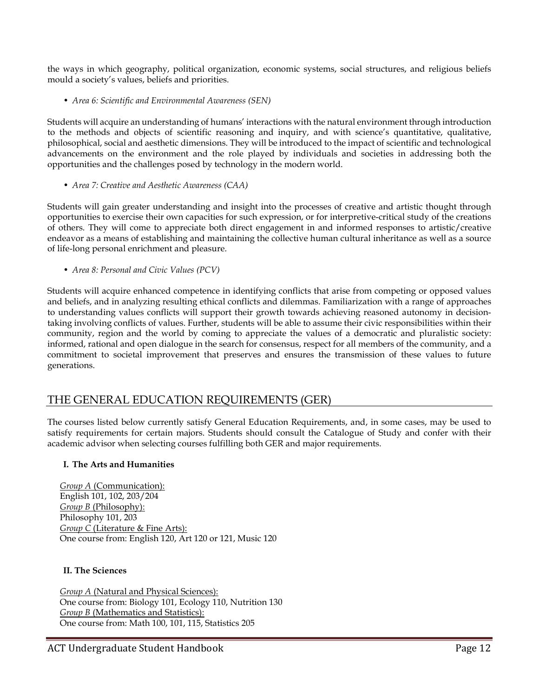the ways in which geography, political organization, economic systems, social structures, and religious beliefs mould a society's values, beliefs and priorities.

• *Area 6: Scientific and Environmental Awareness (SEN)*

Students will acquire an understanding of humans' interactions with the natural environment through introduction to the methods and objects of scientific reasoning and inquiry, and with science's quantitative, qualitative, philosophical, social and aesthetic dimensions. They will be introduced to the impact of scientific and technological advancements on the environment and the role played by individuals and societies in addressing both the opportunities and the challenges posed by technology in the modern world.

• *Area 7: Creative and Aesthetic Awareness (CAA)*

Students will gain greater understanding and insight into the processes of creative and artistic thought through opportunities to exercise their own capacities for such expression, or for interpretive-critical study of the creations of others. They will come to appreciate both direct engagement in and informed responses to artistic/creative endeavor as a means of establishing and maintaining the collective human cultural inheritance as well as a source of life-long personal enrichment and pleasure.

• *Area 8: Personal and Civic Values (PCV)*

Students will acquire enhanced competence in identifying conflicts that arise from competing or opposed values and beliefs, and in analyzing resulting ethical conflicts and dilemmas. Familiarization with a range of approaches to understanding values conflicts will support their growth towards achieving reasoned autonomy in decisiontaking involving conflicts of values. Further, students will be able to assume their civic responsibilities within their community, region and the world by coming to appreciate the values of a democratic and pluralistic society: informed, rational and open dialogue in the search for consensus, respect for all members of the community, and a commitment to societal improvement that preserves and ensures the transmission of these values to future generations.

## THE GENERAL EDUCATION REQUIREMENTS (GER)

The courses listed below currently satisfy General Education Requirements, and, in some cases, may be used to satisfy requirements for certain majors. Students should consult the Catalogue of Study and confer with their academic advisor when selecting courses fulfilling both GER and major requirements.

### **I. The Arts and Humanities**

*Group A* (Communication): English 101, 102, 203/204 *Group B* (Philosophy): Philosophy 101, 203 *Group C* (Literature & Fine Arts): One course from: English 120, Art 120 or 121, Music 120

### **II. The Sciences**

**Group A (Natural and Physical Sciences):** One course from: Biology 101, Ecology 110, Nutrition 130 *Group B* (Mathematics and Statistics): One course from: Math 100, 101, 115, Statistics 205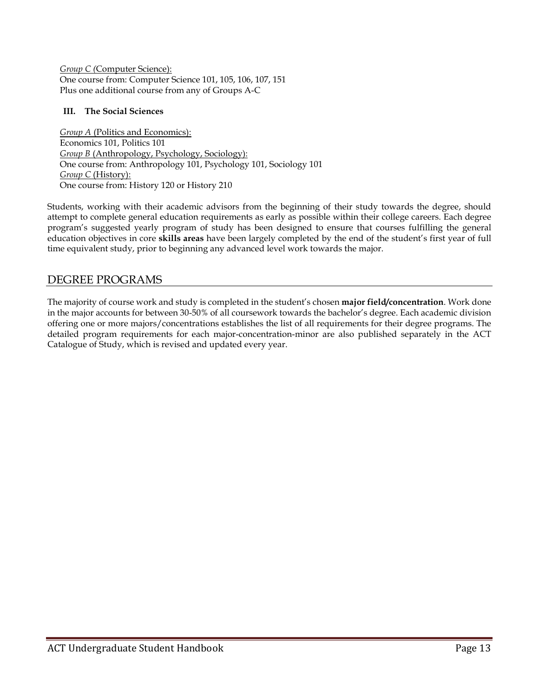*Group C (*Computer Science): One course from: Computer Science 101, 105, 106, 107, 151 Plus one additional course from any of Groups A-C

## **III. The Social Sciences**

*Group A* (Politics and Economics): Economics 101, Politics 101 *Group B* (Anthropology, Psychology, Sociology): One course from: Anthropology 101, Psychology 101, Sociology 101 *Group C (History):* One course from: History 120 or History 210

Students, working with their academic advisors from the beginning of their study towards the degree, should attempt to complete general education requirements as early as possible within their college careers. Each degree program's suggested yearly program of study has been designed to ensure that courses fulfilling the general education objectives in core **skills areas** have been largely completed by the end of the student's first year of full time equivalent study, prior to beginning any advanced level work towards the major.

## DEGREE PROGRAMS

The majority of course work and study is completed in the student's chosen **major field/concentration**. Work done in the major accounts for between 30-50% of all coursework towards the bachelor's degree. Each academic division offering one or more majors/concentrations establishes the list of all requirements for their degree programs. The detailed program requirements for each major-concentration-minor are also published separately in the ACT Catalogue of Study, which is revised and updated every year.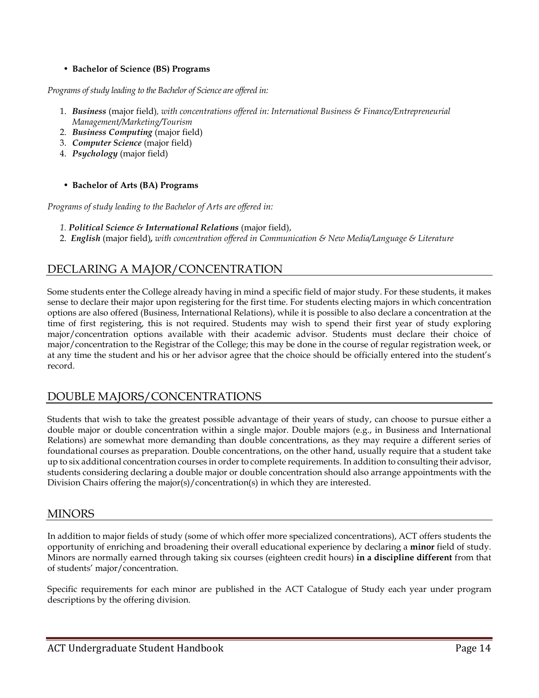## • **Bachelor of Science (BS) Programs**

*Programs of study leading to the Bachelor of Science are offered in:*

- 1. *Business* (major field)*, with concentrations offered in: International Business & Finance/Entrepreneurial Management/Marketing/Tourism*
- 2. *Business Computing* (major field)
- 3. *Computer Science* (major field)
- 4. *Psychology* (major field)

## • **Bachelor of Arts (BA) Programs**

*Programs of study leading to the Bachelor of Arts are offered in:*

- *1. Political Science & International Relations* (major field),
- 2. *English* (major field)*, with concentration offered in Communication & New Media/Language & Literature*

## DECLARING A MAJOR/CONCENTRATION

Some students enter the College already having in mind a specific field of major study. For these students, it makes sense to declare their major upon registering for the first time. For students electing majors in which concentration options are also offered (Business, International Relations), while it is possible to also declare a concentration at the time of first registering, this is not required. Students may wish to spend their first year of study exploring major/concentration options available with their academic advisor. Students must declare their choice of major/concentration to the Registrar of the College; this may be done in the course of regular registration week, or at any time the student and his or her advisor agree that the choice should be officially entered into the student's record.

## DOUBLE MAJORS/CONCENTRATIONS

Students that wish to take the greatest possible advantage of their years of study, can choose to pursue either a double major or double concentration within a single major. Double majors (e.g., in Business and International Relations) are somewhat more demanding than double concentrations, as they may require a different series of foundational courses as preparation. Double concentrations, on the other hand, usually require that a student take up to six additional concentration courses in order to complete requirements. In addition to consulting their advisor, students considering declaring a double major or double concentration should also arrange appointments with the Division Chairs offering the major(s)/concentration(s) in which they are interested.

## MINORS

In addition to major fields of study (some of which offer more specialized concentrations), ACT offers students the opportunity of enriching and broadening their overall educational experience by declaring a **minor** field of study. Minors are normally earned through taking six courses (eighteen credit hours) **in a discipline different** from that of students' major/concentration.

Specific requirements for each minor are published in the ACT Catalogue of Study each year under program descriptions by the offering division.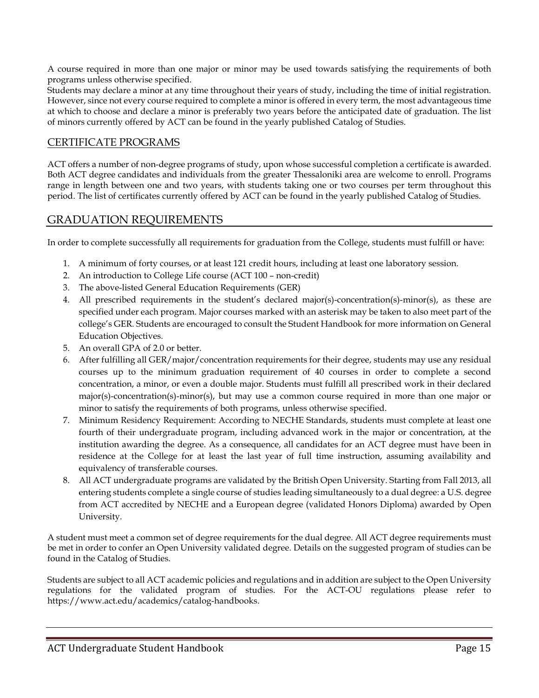A course required in more than one major or minor may be used towards satisfying the requirements of both programs unless otherwise specified.

Students may declare a minor at any time throughout their years of study, including the time of initial registration. However, since not every course required to complete a minor is offered in every term, the most advantageous time at which to choose and declare a minor is preferably two years before the anticipated date of graduation. The list of minors currently offered by ACT can be found in the yearly published Catalog of Studies.

## CERTIFICATE PROGRAMS

ACT offers a number of non-degree programs of study, upon whose successful completion a certificate is awarded. Both ACT degree candidates and individuals from the greater Thessaloniki area are welcome to enroll. Programs range in length between one and two years, with students taking one or two courses per term throughout this period. The list of certificates currently offered by ACT can be found in the yearly published Catalog of Studies.

## GRADUATION REQUIREMENTS

In order to complete successfully all requirements for graduation from the College, students must fulfill or have:

- 1. A minimum of forty courses, or at least 121 credit hours, including at least one laboratory session.
- 2. An introduction to College Life course (ACT 100 non-credit)
- 3. The above-listed General Education Requirements (GER)
- 4. All prescribed requirements in the student's declared major(s)-concentration(s)-minor(s), as these are specified under each program. Major courses marked with an asterisk may be taken to also meet part of the college's GER. Students are encouraged to consult the Student Handbook for more information on General Education Objectives.
- 5. An overall GPA of 2.0 or better.
- 6. After fulfilling all GER/major/concentration requirements for their degree, students may use any residual courses up to the minimum graduation requirement of 40 courses in order to complete a second concentration, a minor, or even a double major. Students must fulfill all prescribed work in their declared major(s)-concentration(s)-minor(s), but may use a common course required in more than one major or minor to satisfy the requirements of both programs, unless otherwise specified.
- 7. Minimum Residency Requirement: According to NECHE Standards, students must complete at least one fourth of their undergraduate program, including advanced work in the major or concentration, at the institution awarding the degree. As a consequence, all candidates for an ACT degree must have been in residence at the College for at least the last year of full time instruction, assuming availability and equivalency of transferable courses.
- 8. All ACT undergraduate programs are validated by the British Open University. Starting from Fall 2013, all entering students complete a single course of studies leading simultaneously to a dual degree: a U.S. degree from ACT accredited by NECHE and a European degree (validated Honors Diploma) awarded by Open University.

A student must meet a common set of degree requirements for the dual degree. All ACT degree requirements must be met in order to confer an Open University validated degree. Details on the suggested program of studies can be found in the Catalog of Studies.

Students are subject to all ACT academic policies and regulations and in addition are subject to the Open University regulations for the validated program of studies. For the ACT-OU regulations please refer to https://www.act.edu/academics/catalog-handbooks.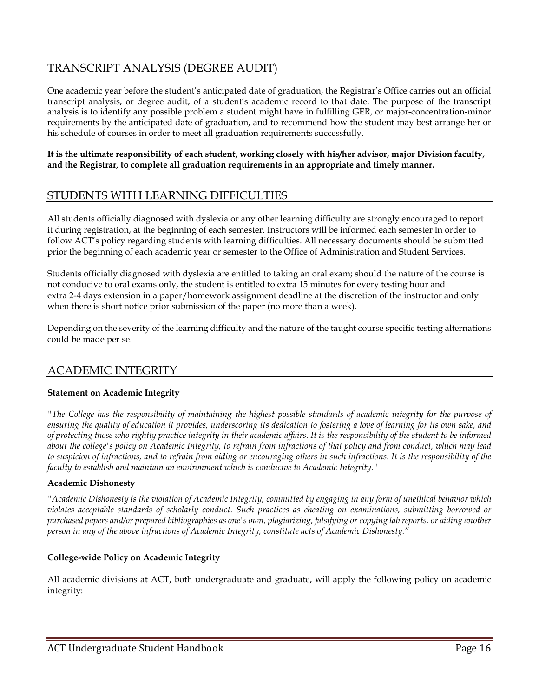## TRANSCRIPT ANALYSIS (DEGREE AUDIT)

One academic year before the student's anticipated date of graduation, the Registrar's Office carries out an official transcript analysis, or degree audit, of a student's academic record to that date. The purpose of the transcript analysis is to identify any possible problem a student might have in fulfilling GER, or major-concentration-minor requirements by the anticipated date of graduation, and to recommend how the student may best arrange her or his schedule of courses in order to meet all graduation requirements successfully.

**It is the ultimate responsibility of each student, working closely with his/her advisor, major Division faculty, and the Registrar, to complete all graduation requirements in an appropriate and timely manner.**

## STUDENTS WITH LEARNING DIFFICULTIES

All students officially diagnosed with dyslexia or any other learning difficulty are strongly encouraged to report it during registration, at the beginning of each semester. Instructors will be informed each semester in order to follow ACT's policy regarding students with learning difficulties. All necessary documents should be submitted prior the beginning of each academic year or semester to the Office of Administration and Student Services.

Students officially diagnosed with dyslexia are entitled to taking an oral exam; should the nature of the course is not conducive to oral exams only, the student is entitled to extra 15 minutes for every testing hour and extra 2-4 days extension in a paper/homework assignment deadline at the discretion of the instructor and only when there is short notice prior submission of the paper (no more than a week).

Depending on the severity of the learning difficulty and the nature of the taught course specific testing alternations could be made per se.

## ACADEMIC INTEGRITY

### **Statement on Academic Integrity**

*"The College has the responsibility of maintaining the highest possible standards of academic integrity for the purpose of ensuring the quality of education it provides, underscoring its dedication to fostering a love of learning for its own sake, and of protecting those who rightly practice integrity in their academic affairs. It is the responsibility of the student to be informed about the college's policy on Academic Integrity, to refrain from infractions of that policy and from conduct, which may lead to suspicion of infractions, and to refrain from aiding or encouraging others in such infractions. It is the responsibility of the faculty to establish and maintain an environment which is conducive to Academic Integrity."*

### **Academic Dishonesty**

*"Academic Dishonesty is the violation of Academic Integrity, committed by engaging in any form of unethical behavior which violates acceptable standards of scholarly conduct. Such practices as cheating on examinations, submitting borrowed or purchased papers and/or prepared bibliographies as one's own, plagiarizing, falsifying or copying lab reports, or aiding another person in any of the above infractions of Academic Integrity, constitute acts of Academic Dishonesty."*

### **College-wide Policy on Academic Integrity**

All academic divisions at ACT, both undergraduate and graduate, will apply the following policy on academic integrity: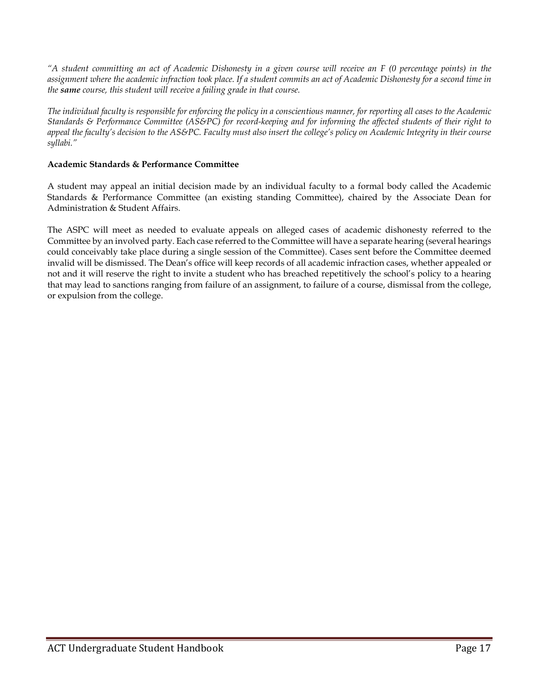*"A student committing an act of Academic Dishonesty in a given course will receive an F (0 percentage points) in the*  assignment where the academic infraction took place. If a student commits an act of Academic Dishonesty for a second time in *the same course, this student will receive a failing grade in that course.* 

*The individual faculty is responsible for enforcing the policy in a conscientious manner, for reporting all cases to the Academic Standards & Performance Committee (AS&PC) for record-keeping and for informing the affected students of their right to appeal the faculty's decision to the AS&PC. Faculty must also insert the college's policy on Academic Integrity in their course syllabi."*

## **Academic Standards & Performance Committee**

A student may appeal an initial decision made by an individual faculty to a formal body called the Academic Standards & Performance Committee (an existing standing Committee), chaired by the Associate Dean for Administration & Student Affairs.

The ASPC will meet as needed to evaluate appeals on alleged cases of academic dishonesty referred to the Committee by an involved party. Each case referred to the Committee will have a separate hearing (several hearings could conceivably take place during a single session of the Committee). Cases sent before the Committee deemed invalid will be dismissed. The Dean's office will keep records of all academic infraction cases, whether appealed or not and it will reserve the right to invite a student who has breached repetitively the school's policy to a hearing that may lead to sanctions ranging from failure of an assignment, to failure of a course, dismissal from the college, or expulsion from the college.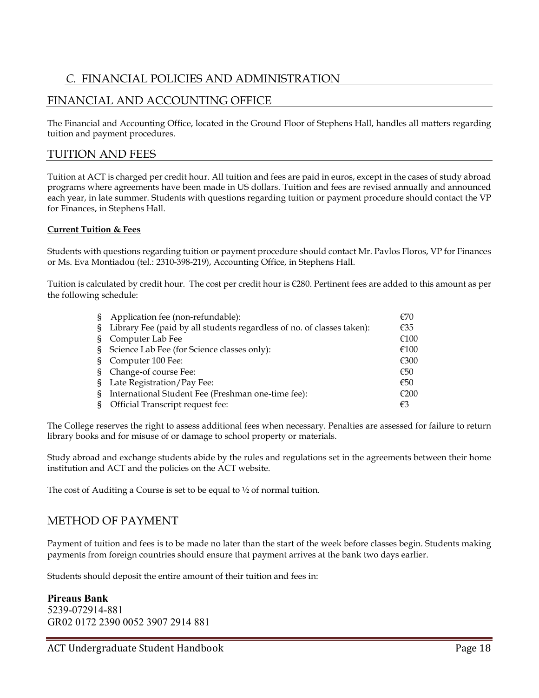## *C.* FINANCIAL POLICIES AND ADMINISTRATION

## FINANCIAL AND ACCOUNTING OFFICE

The Financial and Accounting Office, located in the Ground Floor of Stephens Hall, handles all matters regarding tuition and payment procedures.

## TUITION AND FEES

Tuition at ACT is charged per credit hour. All tuition and fees are paid in euros, except in the cases of study abroad programs where agreements have been made in US dollars. Tuition and fees are revised annually and announced each year, in late summer. Students with questions regarding tuition or payment procedure should contact the VP for Finances, in Stephens Hall.

### **Current Tuition & Fees**

Students with questions regarding tuition or payment procedure should contact Mr. Pavlos Floros, VP for Finances or Ms. Eva Montiadou (tel.: 2310-398-219), Accounting Office, in Stephens Hall.

Tuition is calculated by credit hour. The cost per credit hour is €280. Pertinent fees are added to this amount as per the following schedule:

| S. | Application fee (non-refundable):                                      | €70  |
|----|------------------------------------------------------------------------|------|
| S. | Library Fee (paid by all students regardless of no. of classes taken): | €35  |
| S. | Computer Lab Fee                                                       | €100 |
| S. | Science Lab Fee (for Science classes only):                            | €100 |
| S. | Computer 100 Fee:                                                      | €300 |
| S. | Change-of course Fee:                                                  | €50  |
| S. | Late Registration/Pay Fee:                                             | €50  |
| S  | International Student Fee (Freshman one-time fee):                     | €200 |
|    | Official Transcript request fee:                                       | €3   |

The College reserves the right to assess additional fees when necessary. Penalties are assessed for failure to return library books and for misuse of or damage to school property or materials.

Study abroad and exchange students abide by the rules and regulations set in the agreements between their home institution and ACT and the policies on the ACT website.

The cost of Auditing a Course is set to be equal to  $\frac{1}{2}$  of normal tuition.

## METHOD OF PAYMENT

Payment of tuition and fees is to be made no later than the start of the week before classes begin. Students making payments from foreign countries should ensure that payment arrives at the bank two days earlier.

Students should deposit the entire amount of their tuition and fees in:

## **Pireaus Bank** 5239-072914-881 GR02 0172 2390 0052 3907 2914 881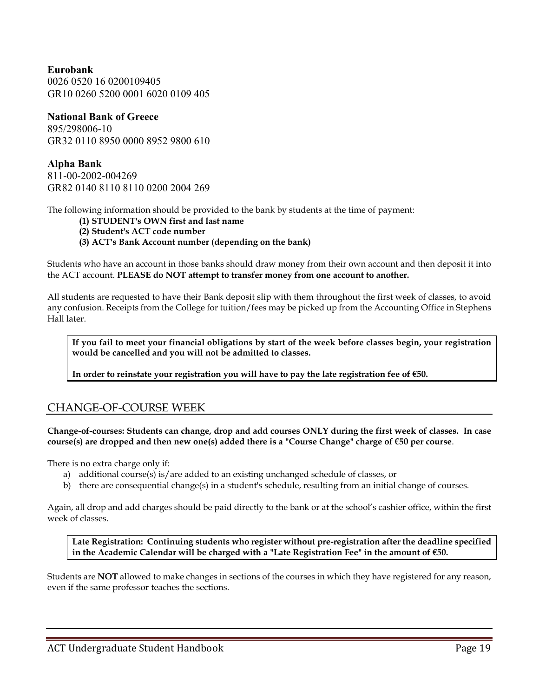**Eurobank** 0026 0520 16 0200109405 GR10 0260 5200 0001 6020 0109 405

## **National Bank of Greece**

895/298006-10 GR32 0110 8950 0000 8952 9800 610

**Alpha Bank**  811-00-2002-004269 GR82 0140 8110 8110 0200 2004 269

The following information should be provided to the bank by students at the time of payment:

- **(1) STUDENT's OWN first and last name**
- **(2) Student's ACT code number**
- **(3) ACT's Bank Account number (depending on the bank)**

Students who have an account in those banks should draw money from their own account and then deposit it into the ACT account. **PLEASE do NOT attempt to transfer money from one account to another.**

All students are requested to have their Bank deposit slip with them throughout the first week of classes, to avoid any confusion. Receipts from the College for tuition/fees may be picked up from the Accounting Office in Stephens Hall later.

**If you fail to meet your financial obligations by start of the week before classes begin, your registration would be cancelled and you will not be admitted to classes.** 

**In order to reinstate your registration you will have to pay the late registration fee of €50.**

## CHANGE-OF-COURSE WEEK

**Change-of-courses: Students can change, drop and add courses ONLY during the first week of classes. In case course(s) are dropped and then new one(s) added there is a "Course Change" charge of €50 per course**.

There is no extra charge only if:

- a) additional course(s) is/are added to an existing unchanged schedule of classes, or
- b) there are consequential change(s) in a student's schedule, resulting from an initial change of courses.

Again, all drop and add charges should be paid directly to the bank or at the school's cashier office, within the first week of classes.

**Late Registration: Continuing students who register without pre-registration after the deadline specified in the Academic Calendar will be charged with a "Late Registration Fee" in the amount of €50.**

Students are **NOT** allowed to make changes in sections of the courses in which they have registered for any reason, even if the same professor teaches the sections.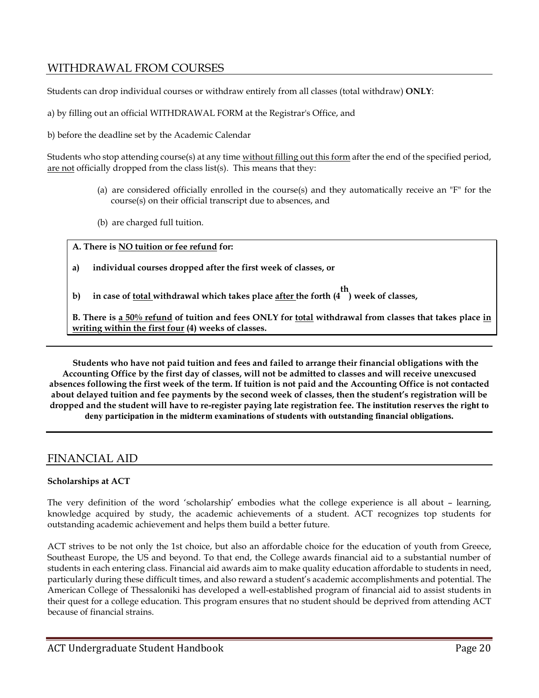## WITHDRAWAL FROM COURSES

Students can drop individual courses or withdraw entirely from all classes (total withdraw) **ONLY**:

a) by filling out an official WITHDRAWAL FORM at the Registrar's Office, and

b) before the deadline set by the Academic Calendar

Students who stop attending course(s) at any time without filling out this form after the end of the specified period, are not officially dropped from the class list(s). This means that they:

- (a) are considered officially enrolled in the course(s) and they automatically receive an "F" for the course(s) on their official transcript due to absences, and
- (b) are charged full tuition.

**A. There is NO tuition or fee refund for:** 

- **a) individual courses dropped after the first week of classes, or**
- **b) in case of total withdrawal which takes place after the forth (4 th ) week of classes,**

**B. There is a 50% refund of tuition and fees ONLY for total withdrawal from classes that takes place in writing within the first four (4) weeks of classes.** 

**Students who have not paid tuition and fees and failed to arrange their financial obligations with the Accounting Office by the first day of classes, will not be admitted to classes and will receive unexcused absences following the first week of the term. If tuition is not paid and the Accounting Office is not contacted about delayed tuition and fee payments by the second week of classes, then the student's registration will be dropped and the student will have to re-register paying late registration fee. The institution reserves the right to deny participation in the midterm examinations of students with outstanding financial obligations.** 

## FINANCIAL AID

## **Scholarships at ACT**

The very definition of the word 'scholarship' embodies what the college experience is all about – learning, knowledge acquired by study, the academic achievements of a student. ACT recognizes top students for outstanding academic achievement and helps them build a better future.

ACT strives to be not only the 1st choice, but also an affordable choice for the education of youth from Greece, Southeast Europe, the US and beyond. To that end, the College awards financial aid to a substantial number of students in each entering class. Financial aid awards aim to make quality education affordable to students in need, particularly during these difficult times, and also reward a student's academic accomplishments and potential. The American College of Thessaloniki has developed a well-established program of financial aid to assist students in their quest for a college education. This program ensures that no student should be deprived from attending ACT because of financial strains.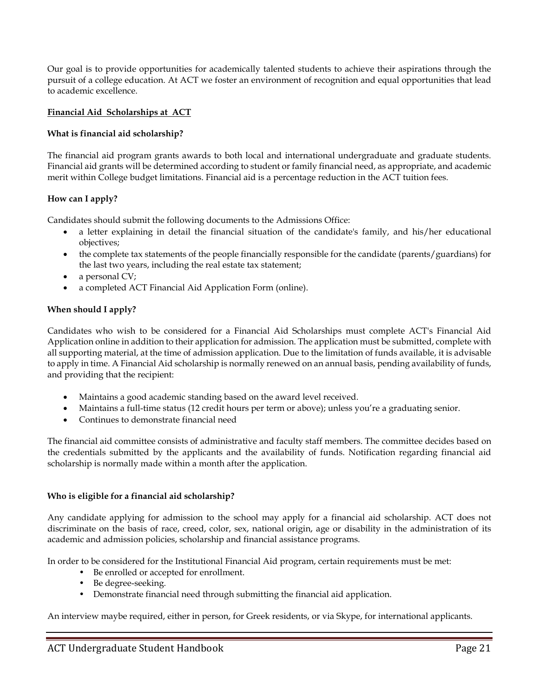Our goal is to provide opportunities for academically talented students to achieve their aspirations through the pursuit of a college education. At ACT we foster an environment of recognition and equal opportunities that lead to academic excellence.

## **Financial Aid Scholarships at ACT**

### **What is financial aid scholarship?**

The financial aid program grants awards to both local and international undergraduate and graduate students. Financial aid grants will be determined according to student or family financial need, as appropriate, and academic merit within College budget limitations. Financial aid is a percentage reduction in the ACT tuition fees.

## **How can I apply?**

Candidates should submit the following documents to the Admissions Office:

- a letter explaining in detail the financial situation of the candidate's family, and his/her educational objectives;
- the complete tax statements of the people financially responsible for the candidate (parents/guardians) for the last two years, including the real estate tax statement;
- a personal CV;
- a completed ACT Financial Aid Application Form (online).

### **When should I apply?**

Candidates who wish to be considered for a Financial Aid Scholarships must complete ACT's Financial Aid Application online in addition to their application for admission. The application must be submitted, complete with all supporting material, at the time of admission application. Due to the limitation of funds available, it is advisable to apply in time. A Financial Aid scholarship is normally renewed on an annual basis, pending availability of funds, and providing that the recipient:

- Maintains a good academic standing based on the award level received.
- Maintains a full-time status (12 credit hours per term or above); unless you're a graduating senior.
- Continues to demonstrate financial need

The financial aid committee consists of administrative and faculty staff members. The committee decides based on the credentials submitted by the applicants and the availability of funds. Notification regarding financial aid scholarship is normally made within a month after the application.

### **Who is eligible for a financial aid scholarship?**

Any candidate applying for admission to the school may apply for a financial aid scholarship. ACT does not discriminate on the basis of race, creed, color, sex, national origin, age or disability in the administration of its academic and admission policies, scholarship and financial assistance programs.

In order to be considered for the Institutional Financial Aid program, certain requirements must be met:

- Be enrolled or accepted for enrollment.
- Be degree-seeking.
- Demonstrate financial need through submitting the financial aid application.

An interview maybe required, either in person, for Greek residents, or via Skype, for international applicants.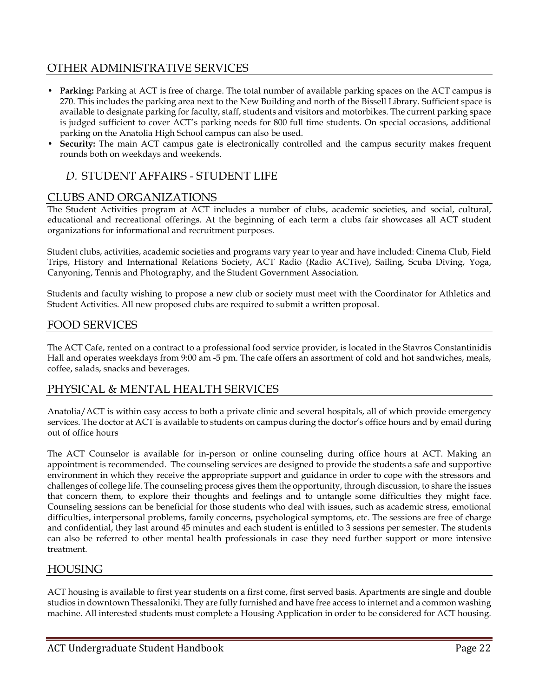## OTHER ADMINISTRATIVE SERVICES

- **Parking:** Parking at ACT is free of charge. The total number of available parking spaces on the ACT campus is 270. This includes the parking area next to the New Building and north of the Bissell Library. Sufficient space is available to designate parking for faculty, staff, students and visitors and motorbikes. The current parking space is judged sufficient to cover ACT's parking needs for 800 full time students. On special occasions, additional parking on the Anatolia High School campus can also be used.
- **Security:** The main ACT campus gate is electronically controlled and the campus security makes frequent rounds both on weekdays and weekends.

## *D.* STUDENT AFFAIRS - STUDENT LIFE

## CLUBS AND ORGANIZATIONS

The Student Activities program at ACT includes a number of clubs, academic societies, and social, cultural, educational and recreational offerings. At the beginning of each term a clubs fair showcases all ACT student organizations for informational and recruitment purposes.

Student clubs, activities, academic societies and programs vary year to year and have included: Cinema Club, Field Trips, History and International Relations Society, ACT Radio (Radio ACTive), Sailing, Scuba Diving, Yoga, Canyoning, Tennis and Photography, and the Student Government Association.

Students and faculty wishing to propose a new club or society must meet with the Coordinator for Athletics and Student Activities. All new proposed clubs are required to submit a written proposal.

## FOOD SERVICES

The ACT Cafe, rented on a contract to a professional food service provider, is located in the Stavros Constantinidis Hall and operates weekdays from 9:00 am -5 pm. The cafe offers an assortment of cold and hot sandwiches, meals, coffee, salads, snacks and beverages.

## PHYSICAL & MENTAL HEALTH SERVICES

Anatolia/ACT is within easy access to both a private clinic and several hospitals, all of which provide emergency services. The doctor at ACT is available to students on campus during the doctor's office hours and by email during out of office hours

The ACT Counselor is available for in-person or online counseling during office hours at ACT. Making an appointment is recommended. The counseling services are designed to provide the students a safe and supportive environment in which they receive the appropriate support and guidance in order to cope with the stressors and challenges of college life. The counseling process gives them the opportunity, through discussion, to share the issues that concern them, to explore their thoughts and feelings and to untangle some difficulties they might face. Counseling sessions can be beneficial for those students who deal with issues, such as academic stress, emotional difficulties, interpersonal problems, family concerns, psychological symptoms, etc. The sessions are free of charge and confidential, they last around 45 minutes and each student is entitled to 3 sessions per semester. The students can also be referred to other mental health professionals in case they need further support or more intensive treatment.

## HOUSING

ACT housing is available to first year students on a first come, first served basis. Apartments are single and double studios in downtown Thessaloniki. They are fully furnished and have free access to internet and a common washing machine. All interested students must complete a Housing Application in order to be considered for ACT housing.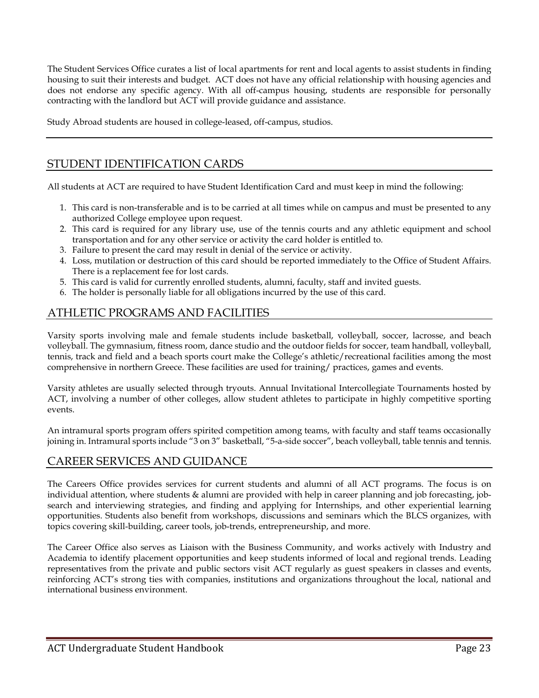The Student Services Office curates a list of local apartments for rent and local agents to assist students in finding housing to suit their interests and budget. ACT does not have any official relationship with housing agencies and does not endorse any specific agency. With all off-campus housing, students are responsible for personally contracting with the landlord but ACT will provide guidance and assistance.

Study Abroad students are housed in college-leased, off-campus, studios.

## STUDENT IDENTIFICATION CARDS

All students at ACT are required to have Student Identification Card and must keep in mind the following:

- 1. This card is non-transferable and is to be carried at all times while on campus and must be presented to any authorized College employee upon request.
- 2. This card is required for any library use, use of the tennis courts and any athletic equipment and school transportation and for any other service or activity the card holder is entitled to.
- 3. Failure to present the card may result in denial of the service or activity.
- 4. Loss, mutilation or destruction of this card should be reported immediately to the Office of Student Affairs. There is a replacement fee for lost cards.
- 5. This card is valid for currently enrolled students, alumni, faculty, staff and invited guests.
- 6. The holder is personally liable for all obligations incurred by the use of this card.

## ATHLETIC PROGRAMS AND FACILITIES

Varsity sports involving male and female students include basketball, volleyball, soccer, lacrosse, and beach volleyball. The gymnasium, fitness room, dance studio and the outdoor fields for soccer, team handball, volleyball, tennis, track and field and a beach sports court make the College's athletic/recreational facilities among the most comprehensive in northern Greece. These facilities are used for training/ practices, games and events.

Varsity athletes are usually selected through tryouts. Annual Invitational Intercollegiate Tournaments hosted by ACT, involving a number of other colleges, allow student athletes to participate in highly competitive sporting events.

An intramural sports program offers spirited competition among teams, with faculty and staff teams occasionally joining in. Intramural sports include "3 on 3" basketball, "5-a-side soccer", beach volleyball, table tennis and tennis.

## CAREER SERVICES AND GUIDANCE

The Careers Office provides services for current students and alumni of all ACT programs. The focus is on individual attention, where students & alumni are provided with help in career planning and job forecasting, jobsearch and interviewing strategies, and finding and applying for Internships, and other experiential learning opportunities. Students also benefit from workshops, discussions and seminars which the BLCS organizes, with topics covering skill-building, career tools, job-trends, entrepreneurship, and more.

The Career Office also serves as Liaison with the Business Community, and works actively with Industry and Academia to identify placement opportunities and keep students informed of local and regional trends. Leading representatives from the private and public sectors visit ACT regularly as guest speakers in classes and events, reinforcing ACT's strong ties with companies, institutions and organizations throughout the local, national and international business environment.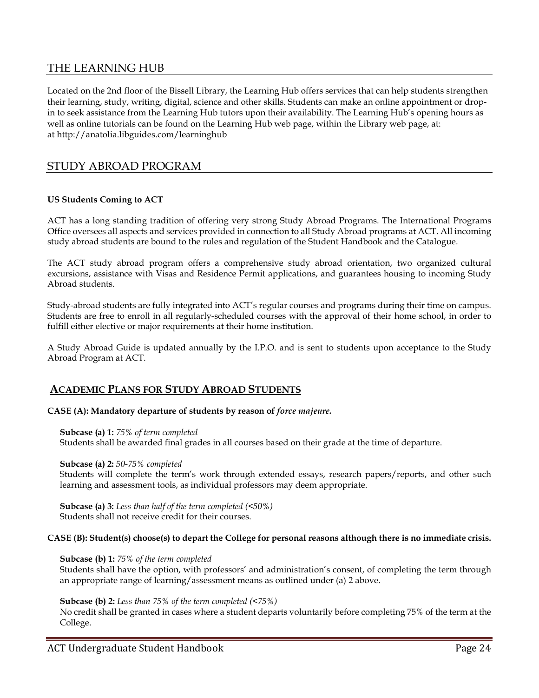## THE LEARNING HUB

Located on the 2nd floor of the Bissell Library, the Learning Hub offers services that can help students strengthen their learning, study, writing, digital, science and other skills. Students can make an online appointment or dropin to seek assistance from the Learning Hub tutors upon their availability. The Learning Hub's opening hours as well as online tutorials can be found on the Learning Hub web page, within the Library web page, at: at <http://anatolia.libguides.com/learninghub>

## STUDY ABROAD PROGRAM

### **US Students Coming to ACT**

ACT has a long standing tradition of offering very strong Study Abroad Programs. The International Programs Office oversees all aspects and services provided in connection to all Study Abroad programs at ACT. All incoming study abroad students are bound to the rules and regulation of the Student Handbook and the Catalogue.

The ACT study abroad program offers a comprehensive study abroad orientation, two organized cultural excursions, assistance with Visas and Residence Permit applications, and guarantees housing to incoming Study Abroad students.

Study-abroad students are fully integrated into ACT's regular courses and programs during their time on campus. Students are free to enroll in all regularly-scheduled courses with the approval of their home school, in order to fulfill either elective or major requirements at their home institution.

A Study Abroad Guide is updated annually by the I.P.O. and is sent to students upon acceptance to the Study Abroad Program at ACT.

## **ACADEMIC PLANS FOR STUDY ABROAD STUDENTS**

#### **CASE (A): Mandatory departure of students by reason of** *force majeure.*

**Subcase (a) 1:** *75% of term completed*

Students shall be awarded final grades in all courses based on their grade at the time of departure.

#### **Subcase (a) 2:** *50-75% completed*

Students will complete the term's work through extended essays, research papers/reports, and other such learning and assessment tools, as individual professors may deem appropriate.

**Subcase (a) 3:** *Less than half of the term completed (<50%)* Students shall not receive credit for their courses.

#### **CASE (B): Student(s) choose(s) to depart the College for personal reasons although there is no immediate crisis.**

#### **Subcase (b) 1:** *75% of the term completed*

Students shall have the option, with professors' and administration's consent, of completing the term through an appropriate range of learning/assessment means as outlined under (a) 2 above.

#### **Subcase (b) 2:** *Less than 75% of the term completed (<75%)*

No credit shall be granted in cases where a student departs voluntarily before completing 75% of the term at the College.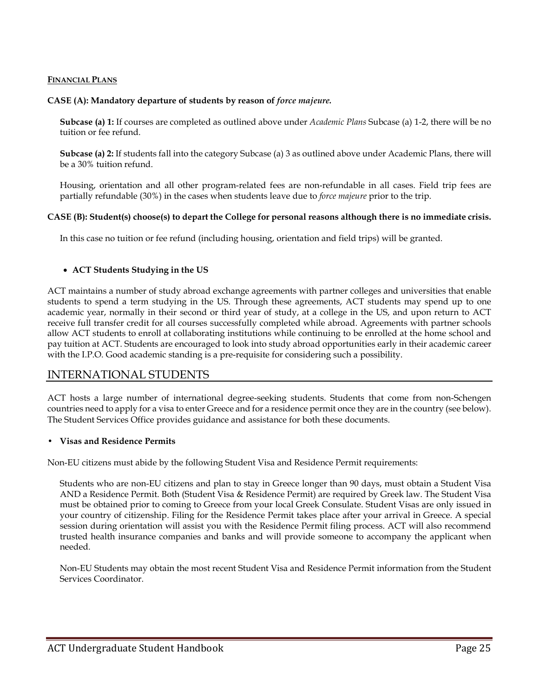#### **FINANCIAL PLANS**

#### **CASE (A): Mandatory departure of students by reason of** *force majeure.*

**Subcase (a) 1:** If courses are completed as outlined above under *Academic Plans* Subcase (a) 1-2, there will be no tuition or fee refund.

**Subcase (a) 2:** If students fall into the category Subcase (a) 3 as outlined above under Academic Plans, there will be a 30% tuition refund.

Housing, orientation and all other program-related fees are non-refundable in all cases. Field trip fees are partially refundable (30%) in the cases when students leave due to *force majeure* prior to the trip.

#### **CASE (B): Student(s) choose(s) to depart the College for personal reasons although there is no immediate crisis.**

In this case no tuition or fee refund (including housing, orientation and field trips) will be granted.

#### • **ACT Students Studying in the US**

ACT maintains a number of study abroad exchange agreements with partner colleges and universities that enable students to spend a term studying in the US. Through these agreements, ACT students may spend up to one academic year, normally in their second or third year of study, at a college in the US, and upon return to ACT receive full transfer credit for all courses successfully completed while abroad. Agreements with partner schools allow ACT students to enroll at collaborating institutions while continuing to be enrolled at the home school and pay tuition at ACT. Students are encouraged to look into study abroad opportunities early in their academic career with the I.P.O. Good academic standing is a pre-requisite for considering such a possibility.

## INTERNATIONAL STUDENTS

ACT hosts a large number of international degree-seeking students. Students that come from non-Schengen countries need to apply for a visa to enter Greece and for a residence permit once they are in the country (see below). The Student Services Office provides guidance and assistance for both these documents.

#### **• Visas and Residence Permits**

Non-EU citizens must abide by the following Student Visa and Residence Permit requirements:

Students who are non-EU citizens and plan to stay in Greece longer than 90 days, must obtain a Student Visa AND a Residence Permit. Both (Student Visa & Residence Permit) are required by Greek law. The Student Visa must be obtained prior to coming to Greece from your local Greek Consulate. Student Visas are only issued in your country of citizenship. Filing for the Residence Permit takes place after your arrival in Greece. A special session during orientation will assist you with the Residence Permit filing process. ACT will also recommend trusted health insurance companies and banks and will provide someone to accompany the applicant when needed.

Non-EU Students may obtain the most recent Student Visa and Residence Permit information from the Student Services Coordinator.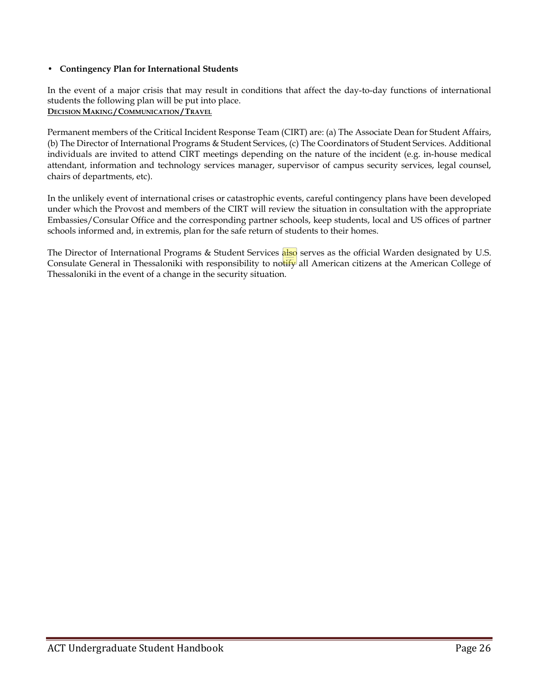### **• Contingency Plan for International Students**

In the event of a major crisis that may result in conditions that affect the day-to-day functions of international students the following plan will be put into place. **DECISION MAKING / COMMUNICATION / TRAVEL**

Permanent members of the Critical Incident Response Team (CIRT) are: (a) The Associate Dean for Student Affairs, (b) The Director of International Programs & Student Services, (c) The Coordinators of Student Services. Additional individuals are invited to attend CIRT meetings depending on the nature of the incident (e.g. in-house medical attendant, information and technology services manager, supervisor of campus security services, legal counsel, chairs of departments, etc).

In the unlikely event of international crises or catastrophic events, careful contingency plans have been developed under which the Provost and members of the CIRT will review the situation in consultation with the appropriate Embassies/Consular Office and the corresponding partner schools, keep students, local and US offices of partner schools informed and, in extremis, plan for the safe return of students to their homes.

The Director of International Programs & Student Services also serves as the official Warden designated by U.S. Consulate General in Thessaloniki with responsibility to notify all American citizens at the American College of Thessaloniki in the event of a change in the security situation.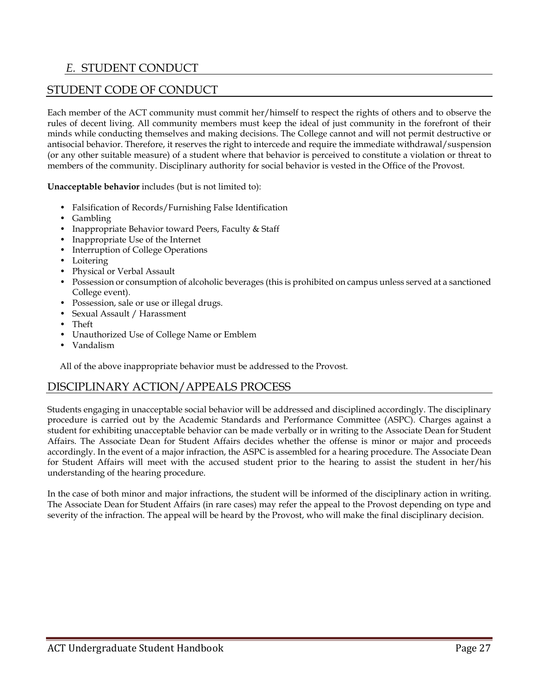## *E.* STUDENT CONDUCT

## STUDENT CODE OF CONDUCT

Each member of the ACT community must commit her/himself to respect the rights of others and to observe the rules of decent living. All community members must keep the ideal of just community in the forefront of their minds while conducting themselves and making decisions. The College cannot and will not permit destructive or antisocial behavior. Therefore, it reserves the right to intercede and require the immediate withdrawal/suspension (or any other suitable measure) of a student where that behavior is perceived to constitute a violation or threat to members of the community. Disciplinary authority for social behavior is vested in the Office of the Provost.

**Unacceptable behavior** includes (but is not limited to):

- Falsification of Records/Furnishing False Identification
- Gambling
- Inappropriate Behavior toward Peers, Faculty & Staff
- Inappropriate Use of the Internet
- Interruption of College Operations
- Loitering
- Physical or Verbal Assault
- Possession or consumption of alcoholic beverages (this is prohibited on campus unless served at a sanctioned College event).
- Possession, sale or use or illegal drugs.
- Sexual Assault / Harassment
- Theft
- Unauthorized Use of College Name or Emblem
- Vandalism

All of the above inappropriate behavior must be addressed to the Provost.

## DISCIPLINARY ACTION/APPEALS PROCESS

Students engaging in unacceptable social behavior will be addressed and disciplined accordingly. The disciplinary procedure is carried out by the Academic Standards and Performance Committee (ASPC). Charges against a student for exhibiting unacceptable behavior can be made verbally or in writing to the Associate Dean for Student Affairs. The Associate Dean for Student Affairs decides whether the offense is minor or major and proceeds accordingly. In the event of a major infraction, the ASPC is assembled for a hearing procedure. The Associate Dean for Student Affairs will meet with the accused student prior to the hearing to assist the student in her/his understanding of the hearing procedure.

In the case of both minor and major infractions, the student will be informed of the disciplinary action in writing. The Associate Dean for Student Affairs (in rare cases) may refer the appeal to the Provost depending on type and severity of the infraction. The appeal will be heard by the Provost, who will make the final disciplinary decision.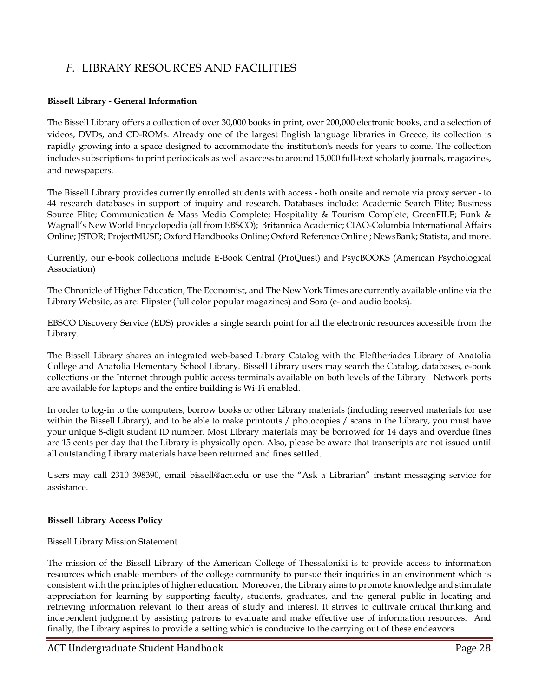## *F.* LIBRARY RESOURCES AND FACILITIES

### **Bissell Library - General Information**

The Bissell Library offers a collection of over 30,000 books in print, over 200,000 electronic books, and a selection of videos, DVDs, and CD-ROMs. Already one of the largest English language libraries in Greece, its collection is rapidly growing into a space designed to accommodate the institution's needs for years to come. The collection includes subscriptions to print periodicals as well as access to around 15,000 full-text scholarly journals, magazines, and newspapers.

The Bissell Library provides currently enrolled students with access - both onsite and remote via proxy server - to 44 research databases in support of inquiry and research. Databases include: Academic Search Elite; Business Source Elite; Communication & Mass Media Complete; Hospitality & Tourism Complete; GreenFILE; Funk & Wagnall's New World Encyclopedia (all from EBSCO); Britannica Academic; CIAO-Columbia International Affairs Online; JSTOR; ProjectMUSE; Oxford Handbooks Online; Oxford Reference Online ; NewsBank; Statista, and more.

Currently, our e-book collections include E-Book Central (ProQuest) and PsycBOOKS (American Psychological Association)

The Chronicle of Higher Education, The Economist, and The New York Times are currently available online via the Library Website, as are: Flipster (full color popular magazines) and Sora (e- and audio books).

EBSCO Discovery Service (EDS) provides a single search point for all the electronic resources accessible from the Library.

The Bissell Library shares an integrated web-based Library Catalog with the Eleftheriades Library of Anatolia College and Anatolia Elementary School Library. Bissell Library users may search the Catalog, databases, e-book collections or the Internet through public access terminals available on both levels of the Library. Network ports are available for laptops and the entire building is Wi-Fi enabled.

In order to log-in to the computers, borrow books or other Library materials (including reserved materials for use within the Bissell Library), and to be able to make printouts / photocopies / scans in the Library, you must have your unique 8-digit student ID number. Most Library materials may be borrowed for 14 days and overdue fines are 15 cents per day that the Library is physically open. Also, please be aware that transcripts are not issued until all outstanding Library materials have been returned and fines settled.

Users may call 2310 398390, email bissell@act.edu or use the "Ask a Librarian" instant messaging service for assistance.

### **Bissell Library Access Policy**

Bissell Library Mission Statement

The mission of the Bissell Library of the American College of Thessaloniki is to provide access to information resources which enable members of the college community to pursue their inquiries in an environment which is consistent with the principles of higher education. Moreover, the Library aims to promote knowledge and stimulate appreciation for learning by supporting faculty, students, graduates, and the general public in locating and retrieving information relevant to their areas of study and interest. It strives to cultivate critical thinking and independent judgment by assisting patrons to evaluate and make effective use of information resources. And finally, the Library aspires to provide a setting which is conducive to the carrying out of these endeavors.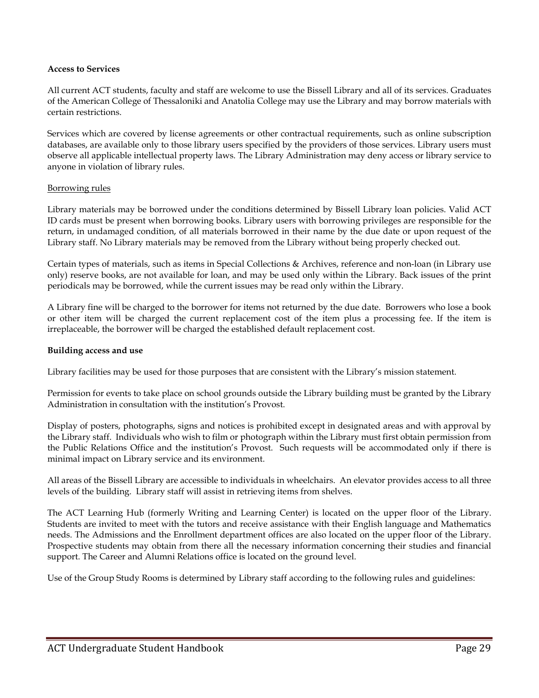#### **Access to Services**

All current ACT students, faculty and staff are welcome to use the Bissell Library and all of its services. Graduates of the American College of Thessaloniki and Anatolia College may use the Library and may borrow materials with certain restrictions.

Services which are covered by license agreements or other contractual requirements, such as online subscription databases, are available only to those library users specified by the providers of those services. Library users must observe all applicable intellectual property laws. The Library Administration may deny access or library service to anyone in violation of library rules.

#### Borrowing rules

Library materials may be borrowed under the conditions determined by Bissell Library loan policies. Valid ACT ID cards must be present when borrowing books. Library users with borrowing privileges are responsible for the return, in undamaged condition, of all materials borrowed in their name by the due date or upon request of the Library staff. No Library materials may be removed from the Library without being properly checked out.

Certain types of materials, such as items in Special Collections & Archives, reference and non-loan (in Library use only) reserve books, are not available for loan, and may be used only within the Library. Back issues of the print periodicals may be borrowed, while the current issues may be read only within the Library.

A Library fine will be charged to the borrower for items not returned by the due date. Borrowers who lose a book or other item will be charged the current replacement cost of the item plus a processing fee. If the item is irreplaceable, the borrower will be charged the established default replacement cost.

#### **Building access and use**

Library facilities may be used for those purposes that are consistent with the Library's mission statement.

Permission for events to take place on school grounds outside the Library building must be granted by the Library Administration in consultation with the institution's Provost.

Display of posters, photographs, signs and notices is prohibited except in designated areas and with approval by the Library staff. Individuals who wish to film or photograph within the Library must first obtain permission from the Public Relations Office and the institution's Provost. Such requests will be accommodated only if there is minimal impact on Library service and its environment.

All areas of the Bissell Library are accessible to individuals in wheelchairs. An elevator provides access to all three levels of the building. Library staff will assist in retrieving items from shelves.

The ACT Learning Hub (formerly Writing and Learning Center) is located on the upper floor of the Library. Students are invited to meet with the tutors and receive assistance with their English language and Mathematics needs. The Admissions and the Enrollment department offices are also located on the upper floor of the Library. Prospective students may obtain from there all the necessary information concerning their studies and financial support. The Career and Alumni Relations office is located on the ground level.

Use of the Group Study Rooms is determined by Library staff according to the following rules and guidelines: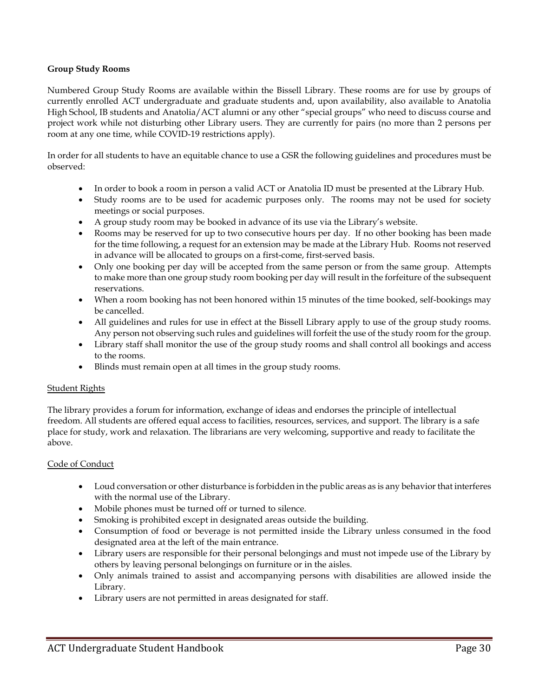## **Group Study Rooms**

Numbered Group Study Rooms are available within the Bissell Library. These rooms are for use by groups of currently enrolled ACT undergraduate and graduate students and, upon availability, also available to Anatolia High School, IB students and Anatolia/ACT alumni or any other "special groups" who need to discuss course and project work while not disturbing other Library users. They are currently for pairs (no more than 2 persons per room at any one time, while COVID-19 restrictions apply).

In order for all students to have an equitable chance to use a GSR the following guidelines and procedures must be observed:

- In order to book a room in person a valid ACT or Anatolia ID must be presented at the Library Hub.
- Study rooms are to be used for academic purposes only. The rooms may not be used for society meetings or social purposes.
- A group study room may be booked in advance of its use via the [Library's website.](https://act.libcal.com/reserve/gsr)
- Rooms may be reserved for up to two consecutive hours per day. If no other booking has been made for the time following, a request for an extension may be made at the Library Hub. Rooms not reserved in advance will be allocated to groups on a first-come, first-served basis.
- Only one booking per day will be accepted from the same person or from the same group. Attempts to make more than one group study room booking per day will result in the forfeiture of the subsequent reservations.
- When a room booking has not been honored within 15 minutes of the time booked, self-bookings may be cancelled.
- All guidelines and rules for use in effect at the Bissell Library apply to use of the group study rooms. Any person not observing such rules and guidelines will forfeit the use of the study room for the group.
- Library staff shall monitor the use of the group study rooms and shall control all bookings and access to the rooms.
- Blinds must remain open at all times in the group study rooms.

### Student Rights

The library provides a forum for information, exchange of ideas and endorses the principle of intellectual freedom. All students are offered equal access to facilities, resources, services, and support. The library is a safe place for study, work and relaxation. The librarians are very welcoming, supportive and ready to facilitate the above.

### Code of Conduct

- Loud conversation or other disturbance is forbidden in the public areas as is any behavior that interferes with the normal use of the Library.
- Mobile phones must be turned off or turned to silence.
- Smoking is prohibited except in designated areas outside the building.
- Consumption of food or beverage is not permitted inside the Library unless consumed in the food designated area at the left of the main entrance.
- Library users are responsible for their personal belongings and must not impede use of the Library by others by leaving personal belongings on furniture or in the aisles.
- Only animals trained to assist and accompanying persons with disabilities are allowed inside the Library.
- Library users are not permitted in areas designated for staff.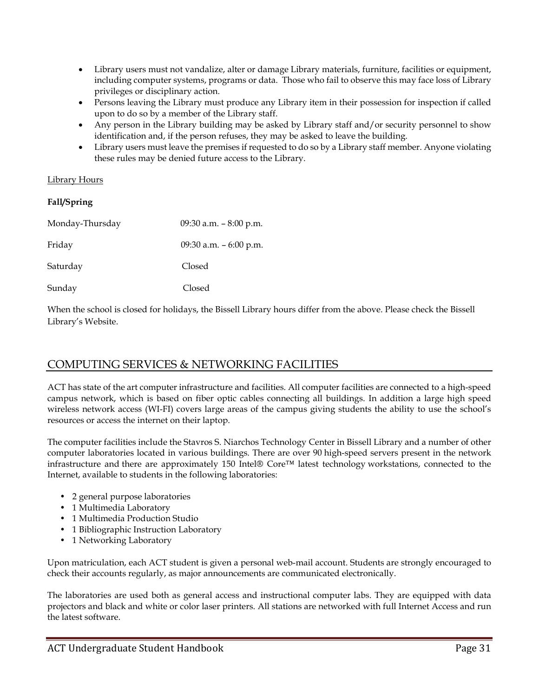- Library users must not vandalize, alter or damage Library materials, furniture, facilities or equipment, including computer systems, programs or data. Those who fail to observe this may face loss of Library privileges or disciplinary action.
- Persons leaving the Library must produce any Library item in their possession for inspection if called upon to do so by a member of the Library staff.
- Any person in the Library building may be asked by Library staff and/or security personnel to show identification and, if the person refuses, they may be asked to leave the building.
- Library users must leave the premises if requested to do so by a Library staff member. Anyone violating these rules may be denied future access to the Library.

## Library Hours

## **Fall/Spring**

| Monday-Thursday | 09:30 a.m. $-8:00$ p.m. |
|-----------------|-------------------------|
| Friday          | 09:30 a.m. - 6:00 p.m.  |
| Saturday        | Closed                  |
| Sunday          | Closed                  |

When the school is closed for holidays, the Bissell Library hours differ from the above. Please check the Bissell Library's Website.

## COMPUTING SERVICES & NETWORKING FACILITIES

ACT has state of the art computer infrastructure and facilities. All computer facilities are connected to a high-speed campus network, which is based on fiber optic cables connecting all buildings. In addition a large high speed wireless network access (WI-FI) covers large areas of the campus giving students the ability to use the school's resources or access the internet on their laptop.

The computer facilities include the Stavros S. Niarchos Technology Center in Bissell Library and a number of other computer laboratories located in various buildings. There are over 90 high-speed servers present in the network infrastructure and there are approximately 150 Intel® Core™ latest technology workstations, connected to the Internet, available to students in the following laboratories:

- 2 general purpose laboratories
- 1 Multimedia Laboratory
- 1 Multimedia Production Studio
- 1 Bibliographic Instruction Laboratory
- 1 Networking Laboratory

Upon matriculation, each ACT student is given a personal web-mail account. Students are strongly encouraged to check their accounts regularly, as major announcements are communicated electronically.

The laboratories are used both as general access and instructional computer labs. They are equipped with data projectors and black and white or color laser printers. All stations are networked with full Internet Access and run the latest software.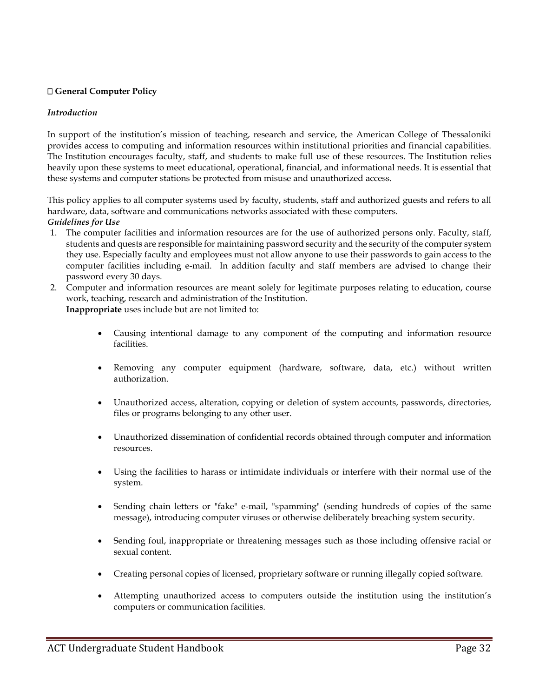## **General Computer Policy**

#### *Introduction*

In support of the institution's mission of teaching, research and service, the American College of Thessaloniki provides access to computing and information resources within institutional priorities and financial capabilities. The Institution encourages faculty, staff, and students to make full use of these resources. The Institution relies heavily upon these systems to meet educational, operational, financial, and informational needs. It is essential that these systems and computer stations be protected from misuse and unauthorized access.

This policy applies to all computer systems used by faculty, students, staff and authorized guests and refers to all hardware, data, software and communications networks associated with these computers. *Guidelines for Use*

- 1. The computer facilities and information resources are for the use of authorized persons only. Faculty, staff, students and quests are responsible for maintaining password security and the security of the computer system they use. Especially faculty and employees must not allow anyone to use their passwords to gain access to the computer facilities including e-mail. In addition faculty and staff members are advised to change their password every 30 days.
- 2. Computer and information resources are meant solely for legitimate purposes relating to education, course work, teaching, research and administration of the Institution. **Inappropriate** uses include but are not limited to:
	- Causing intentional damage to any component of the computing and information resource facilities.
	- Removing any computer equipment (hardware, software, data, etc.) without written authorization.
	- Unauthorized access, alteration, copying or deletion of system accounts, passwords, directories, files or programs belonging to any other user.
	- Unauthorized dissemination of confidential records obtained through computer and information resources.
	- Using the facilities to harass or intimidate individuals or interfere with their normal use of the system.
	- Sending chain letters or "fake" e-mail, "spamming" (sending hundreds of copies of the same message), introducing computer viruses or otherwise deliberately breaching system security.
	- Sending foul, inappropriate or threatening messages such as those including offensive racial or sexual content.
	- Creating personal copies of licensed, proprietary software or running illegally copied software.
	- Attempting unauthorized access to computers outside the institution using the institution's computers or communication facilities.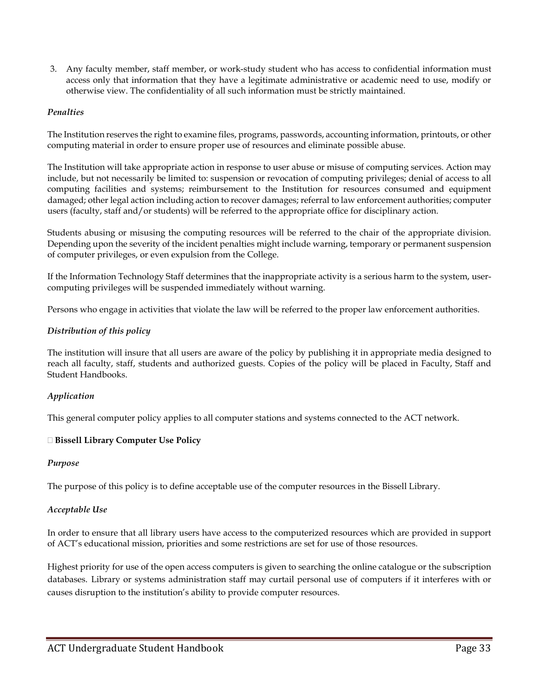3. Any faculty member, staff member, or work-study student who has access to confidential information must access only that information that they have a legitimate administrative or academic need to use, modify or otherwise view. The confidentiality of all such information must be strictly maintained.

### *Penalties*

The Institution reserves the right to examine files, programs, passwords, accounting information, printouts, or other computing material in order to ensure proper use of resources and eliminate possible abuse.

The Institution will take appropriate action in response to user abuse or misuse of computing services. Action may include, but not necessarily be limited to: suspension or revocation of computing privileges; denial of access to all computing facilities and systems; reimbursement to the Institution for resources consumed and equipment damaged; other legal action including action to recover damages; referral to law enforcement authorities; computer users (faculty, staff and/or students) will be referred to the appropriate office for disciplinary action.

Students abusing or misusing the computing resources will be referred to the chair of the appropriate division. Depending upon the severity of the incident penalties might include warning, temporary or permanent suspension of computer privileges, or even expulsion from the College.

If the Information Technology Staff determines that the inappropriate activity is a serious harm to the system, usercomputing privileges will be suspended immediately without warning.

Persons who engage in activities that violate the law will be referred to the proper law enforcement authorities.

### *Distribution of this policy*

The institution will insure that all users are aware of the policy by publishing it in appropriate media designed to reach all faculty, staff, students and authorized guests. Copies of the policy will be placed in Faculty, Staff and Student Handbooks.

### *Application*

This general computer policy applies to all computer stations and systems connected to the ACT network.

### **Bissell Library Computer Use Policy**

#### *Purpose*

The purpose of this policy is to define acceptable use of the computer resources in the Bissell Library.

### *Acceptable Use*

In order to ensure that all library users have access to the computerized resources which are provided in support of ACT's educational mission, priorities and some restrictions are set for use of those resources.

Highest priority for use of the open access computers is given to searching the online catalogue or the subscription databases. Library or systems administration staff may curtail personal use of computers if it interferes with or causes disruption to the institution's ability to provide computer resources.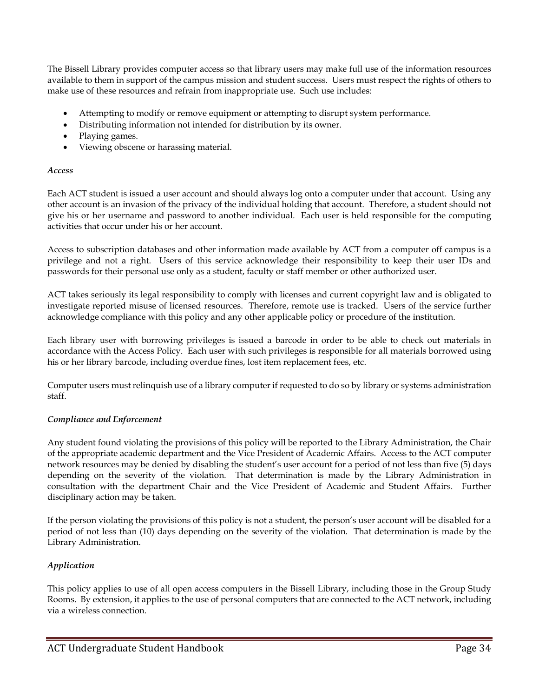The Bissell Library provides computer access so that library users may make full use of the information resources available to them in support of the campus mission and student success. Users must respect the rights of others to make use of these resources and refrain from inappropriate use. Such use includes:

- Attempting to modify or remove equipment or attempting to disrupt system performance.
- Distributing information not intended for distribution by its owner.
- Playing games.
- Viewing obscene or harassing material.

#### *Access*

Each ACT student is issued a user account and should always log onto a computer under that account. Using any other account is an invasion of the privacy of the individual holding that account. Therefore, a student should not give his or her username and password to another individual. Each user is held responsible for the computing activities that occur under his or her account.

Access to subscription databases and other information made available by ACT from a computer off campus is a privilege and not a right. Users of this service acknowledge their responsibility to keep their user IDs and passwords for their personal use only as a student, faculty or staff member or other authorized user.

ACT takes seriously its legal responsibility to comply with licenses and current copyright law and is obligated to investigate reported misuse of licensed resources. Therefore, remote use is tracked. Users of the service further acknowledge compliance with this policy and any other applicable policy or procedure of the institution.

Each library user with borrowing privileges is issued a barcode in order to be able to check out materials in accordance with the Access Policy. Each user with such privileges is responsible for all materials borrowed using his or her library barcode, including overdue fines, lost item replacement fees, etc.

Computer users must relinquish use of a library computer if requested to do so by library or systems administration staff.

### *Compliance and Enforcement*

Any student found violating the provisions of this policy will be reported to the Library Administration, the Chair of the appropriate academic department and the Vice President of Academic Affairs. Access to the ACT computer network resources may be denied by disabling the student's user account for a period of not less than five (5) days depending on the severity of the violation. That determination is made by the Library Administration in consultation with the department Chair and the Vice President of Academic and Student Affairs. Further disciplinary action may be taken.

If the person violating the provisions of this policy is not a student, the person's user account will be disabled for a period of not less than (10) days depending on the severity of the violation. That determination is made by the Library Administration.

## *Application*

This policy applies to use of all open access computers in the Bissell Library, including those in the Group Study Rooms. By extension, it applies to the use of personal computers that are connected to the ACT network, including via a wireless connection.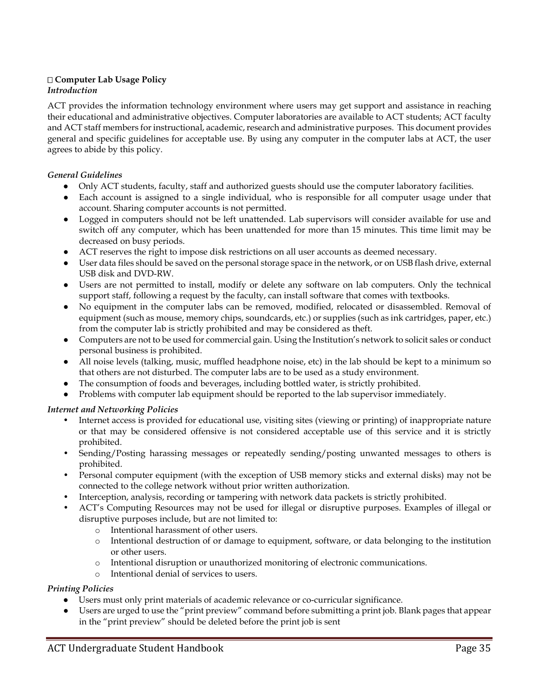## **Computer Lab Usage Policy** *Introduction*

ACT provides the information technology environment where users may get support and assistance in reaching their educational and administrative objectives. Computer laboratories are available to ACT students; ACT faculty and ACT staff members for instructional, academic, research and administrative purposes. This document provides general and specific guidelines for acceptable use. By using any computer in the computer labs at ACT, the user agrees to abide by this policy.

## *General Guidelines*

- Only ACT students, faculty, staff and authorized guests should use the computer laboratory facilities.
- Each account is assigned to a single individual, who is responsible for all computer usage under that account. Sharing computer accounts is not permitted.
- Logged in computers should not be left unattended. Lab supervisors will consider available for use and switch off any computer, which has been unattended for more than 15 minutes. This time limit may be decreased on busy periods.
- ACT reserves the right to impose disk restrictions on all user accounts as deemed necessary.
- User data files should be saved on the personal storage space in the network, or on USB flash drive, external USB disk and DVD-RW.
- Users are not permitted to install, modify or delete any software on lab computers. Only the technical support staff, following a request by the faculty, can install software that comes with textbooks.
- No equipment in the computer labs can be removed, modified, relocated or disassembled. Removal of equipment (such as mouse, memory chips, soundcards, etc.) or supplies (such as ink cartridges, paper, etc.) from the computer lab is strictly prohibited and may be considered as theft.
- Computers are not to be used for commercial gain. Using the Institution's network to solicit sales or conduct personal business is prohibited.
- All noise levels (talking, music, muffled headphone noise, etc) in the lab should be kept to a minimum so that others are not disturbed. The computer labs are to be used as a study environment.
- The consumption of foods and beverages, including bottled water, is strictly prohibited.
- Problems with computer lab equipment should be reported to the lab supervisor immediately.

## *Internet and Networking Policies*

- Internet access is provided for educational use, visiting sites (viewing or printing) of inappropriate nature or that may be considered offensive is not considered acceptable use of this service and it is strictly prohibited.
- Sending/Posting harassing messages or repeatedly sending/posting unwanted messages to others is prohibited.
- Personal computer equipment (with the exception of USB memory sticks and external disks) may not be connected to the college network without prior written authorization.
- Interception, analysis, recording or tampering with network data packets is strictly prohibited.
- ACT's Computing Resources may not be used for illegal or disruptive purposes. Examples of illegal or disruptive purposes include, but are not limited to:
	- o Intentional harassment of other users.
	- o Intentional destruction of or damage to equipment, software, or data belonging to the institution or other users.
	- o Intentional disruption or unauthorized monitoring of electronic communications.
	- o Intentional denial of services to users.

## *Printing Policies*

- Users must only print materials of academic relevance or co-curricular significance.
- Users are urged to use the "print preview" command before submitting a print job. Blank pages that appear in the "print preview" should be deleted before the print job is sent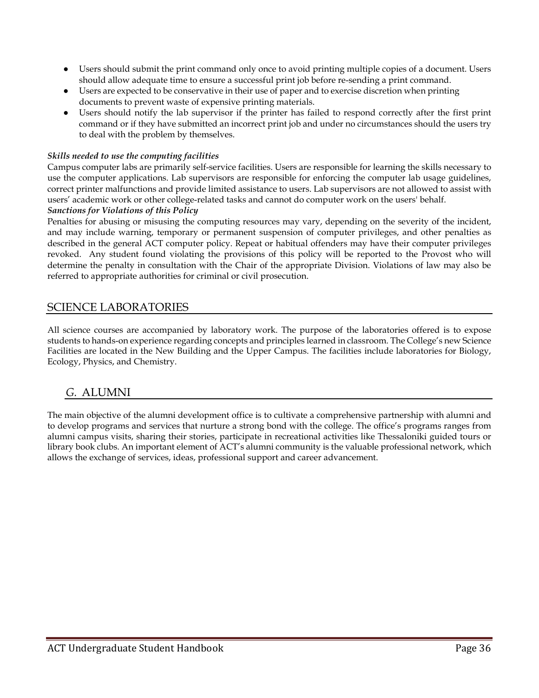- Users should submit the print command only once to avoid printing multiple copies of a document. Users should allow adequate time to ensure a successful print job before re-sending a print command.
- Users are expected to be conservative in their use of paper and to exercise discretion when printing documents to prevent waste of expensive printing materials.
- Users should notify the lab supervisor if the printer has failed to respond correctly after the first print command or if they have submitted an incorrect print job and under no circumstances should the users try to deal with the problem by themselves.

### *Skills needed to use the computing facilities*

Campus computer labs are primarily self-service facilities. Users are responsible for learning the skills necessary to use the computer applications. Lab supervisors are responsible for enforcing the computer lab usage guidelines, correct printer malfunctions and provide limited assistance to users. Lab supervisors are not allowed to assist with users' academic work or other college-related tasks and cannot do computer work on the users' behalf. *Sanctions for Violations of this Policy* 

Penalties for abusing or misusing the computing resources may vary, depending on the severity of the incident, and may include warning, temporary or permanent suspension of computer privileges, and other penalties as described in the general ACT computer policy. Repeat or habitual offenders may have their computer privileges revoked. Any student found violating the provisions of this policy will be reported to the Provost who will determine the penalty in consultation with the Chair of the appropriate Division. Violations of law may also be referred to appropriate authorities for criminal or civil prosecution.

## SCIENCE LABORATORIES

All science courses are accompanied by laboratory work. The purpose of the laboratories offered is to expose students to hands-on experience regarding concepts and principles learned in classroom. The College's new Science Facilities are located in the New Building and the Upper Campus. The facilities include laboratories for Biology, Ecology, Physics, and Chemistry.

## *G.* ALUMNI

The main objective of the alumni development office is to cultivate a comprehensive partnership with alumni and to develop programs and services that nurture a strong bond with the college. The office's programs ranges from alumni campus visits, sharing their stories, participate in recreational activities like Thessaloniki guided tours or library book clubs. An important element of ACT's alumni community is the valuable professional network, which allows the exchange of services, ideas, professional support and career advancement.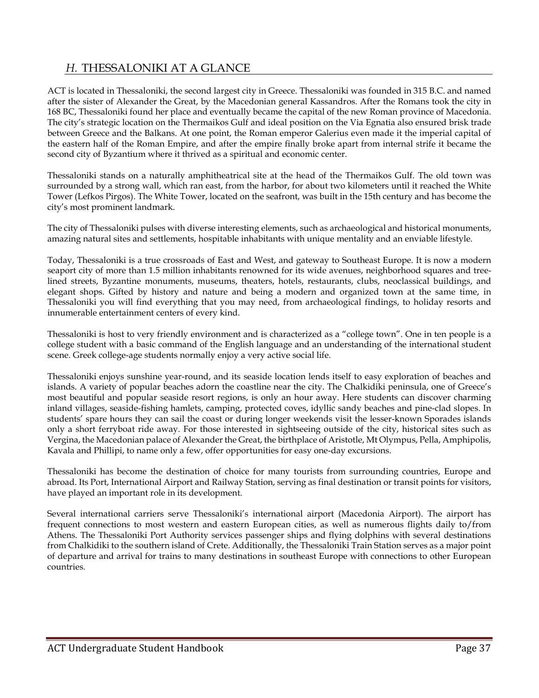## *H.* THESSALONIKI AT A GLANCE

ACT is located in Thessaloniki, the second largest city in Greece. Thessaloniki was founded in 315 B.C. and named after the sister of Alexander the Great, by the Macedonian general Kassandros. After the Romans took the city in 168 BC, Thessaloniki found her place and eventually became the capital of the new Roman province of Macedonia. The city's strategic location on the Thermaikos Gulf and ideal position on the Via Egnatia also ensured brisk trade between Greece and the Balkans. At one point, the Roman emperor Galerius even made it the imperial capital of the eastern half of the Roman Empire, and after the empire finally broke apart from internal strife it became the second city of Byzantium where it thrived as a spiritual and economic center.

Thessaloniki stands on a naturally amphitheatrical site at the head of the Thermaikos Gulf. The old town was surrounded by a strong wall, which ran east, from the harbor, for about two kilometers until it reached the White Tower (Lefkos Pirgos). The White Tower, located on the seafront, was built in the 15th century and has become the city's most prominent landmark.

The city of Thessaloniki pulses with diverse interesting elements, such as archaeological and historical monuments, amazing natural sites and settlements, hospitable inhabitants with unique mentality and an enviable lifestyle.

Today, Thessaloniki is a true crossroads of East and West, and gateway to Southeast Europe. It is now a modern seaport city of more than 1.5 million inhabitants renowned for its wide avenues, neighborhood squares and treelined streets, Byzantine monuments, museums, theaters, hotels, restaurants, clubs, neoclassical buildings, and elegant shops. Gifted by history and nature and being a modern and organized town at the same time, in Thessaloniki you will find everything that you may need, from archaeological findings, to holiday resorts and innumerable entertainment centers of every kind.

Thessaloniki is host to very friendly environment and is characterized as a "college town". One in ten people is a college student with a basic command of the English language and an understanding of the international student scene. Greek college-age students normally enjoy a very active social life.

Thessaloniki enjoys sunshine year-round, and its seaside location lends itself to easy exploration of beaches and islands. A variety of popular beaches adorn the coastline near the city. The Chalkidiki peninsula, one of Greece's most beautiful and popular seaside resort regions, is only an hour away. Here students can discover charming inland villages, seaside-fishing hamlets, camping, protected coves, idyllic sandy beaches and pine-clad slopes. In students' spare hours they can sail the coast or during longer weekends visit the lesser-known Sporades islands only a short ferryboat ride away. For those interested in sightseeing outside of the city, historical sites such as Vergina, the Macedonian palace of Alexander the Great, the birthplace of Aristotle, Mt Olympus, Pella, Amphipolis, Kavala and Phillipi, to name only a few, offer opportunities for easy one-day excursions.

Thessaloniki has become the destination of choice for many tourists from surrounding countries, Europe and abroad. Its Port, International Airport and Railway Station, serving as final destination or transit points for visitors, have played an important role in its development.

Several international carriers serve Thessaloniki's international airport (Macedonia Airport). The airport has frequent connections to most western and eastern European cities, as well as numerous flights daily to/from Athens. The Thessaloniki Port Authority services passenger ships and flying dolphins with several destinations from Chalkidiki to the southern island of Crete. Additionally, the Thessaloniki Train Station serves as a major point of departure and arrival for trains to many destinations in southeast Europe with connections to other European countries.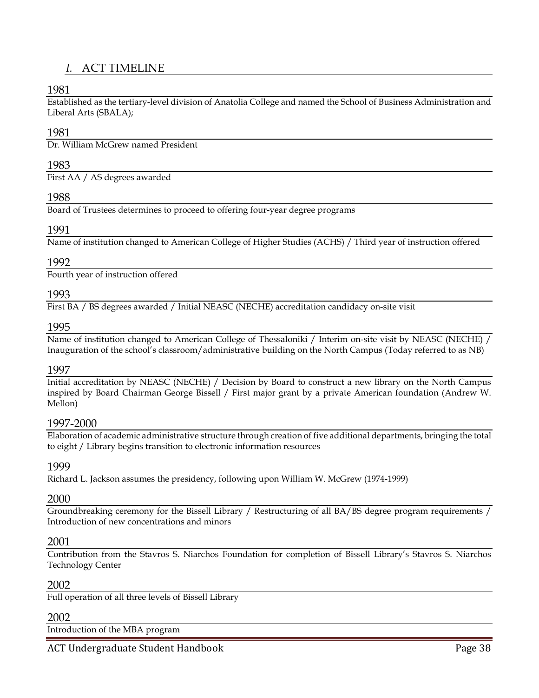## *I.* ACT TIMELINE

## 1981

Established as the tertiary-level division of Anatolia College and named the School of Business Administration and Liberal Arts (SBALA);

### 1981

Dr. William McGrew named President

#### 1983

First AA / AS degrees awarded

### 1988

Board of Trustees determines to proceed to offering four-year degree programs

#### 1991

Name of institution changed to American College of Higher Studies (ACHS) / Third year of instruction offered

#### 1992

Fourth year of instruction offered

## 1993

First BA / BS degrees awarded / Initial NEASC (NECHE) accreditation candidacy on-site visit

#### 1995

Name of institution changed to American College of Thessaloniki / Interim on-site visit by NEASC (NECHE) / Inauguration of the school's classroom/administrative building on the North Campus (Today referred to as NB)

#### 1997

Initial accreditation by NEASC (NECHE) / Decision by Board to construct a new library on the North Campus inspired by Board Chairman George Bissell / First major grant by a private American foundation (Andrew W. Mellon)

### 1997-2000

Elaboration of academic administrative structure through creation of five additional departments, bringing the total to eight / Library begins transition to electronic information resources

### 1999

Richard L. Jackson assumes the presidency, following upon William W. McGrew (1974-1999)

## 2000

Groundbreaking ceremony for the Bissell Library / Restructuring of all BA/BS degree program requirements / Introduction of new concentrations and minors

#### 2001

Contribution from the Stavros S. Niarchos Foundation for completion of Bissell Library's Stavros S. Niarchos Technology Center

#### 2002

Full operation of all three levels of Bissell Library

## 2002

Introduction of the MBA program

ACT Undergraduate Student Handbook **Page 38**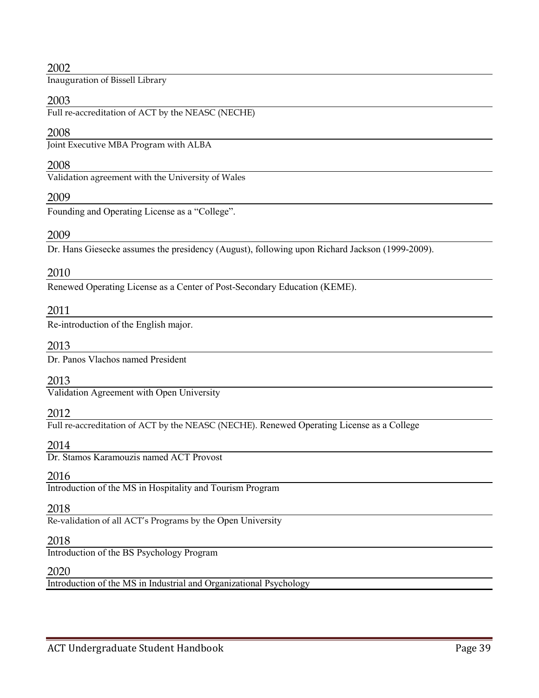## 2002

Inauguration of Bissell Library

## 2003

Full re-accreditation of ACT by the NEASC (NECHE)

## 2008

Joint Executive MBA Program with ALBA

### 2008

Validation agreement with the University of Wales

## 2009

Founding and Operating License as a "College".

## 2009

Dr. Hans Giesecke assumes the presidency (August), following upon Richard Jackson (1999-2009).

### 2010

Renewed Operating License as a Center of Post-Secondary Education (KEME).

### 2011

Re-introduction of the English major.

### 2013

Dr. Panos Vlachos named President

### 2013

Validation Agreement with Open University

### 2012

Full re-accreditation of ACT by the NEASC (NECHE). Renewed Operating License as a College

### 2014

Dr. Stamos Karamouzis named ACT Provost

### 2016

Introduction of the MS in Hospitality and Tourism Program

### 2018

Re-validation of all ACT's Programs by the Open University

## 2018

Introduction of the BS Psychology Program

### 2020

Introduction of the MS in Industrial and Organizational Psychology